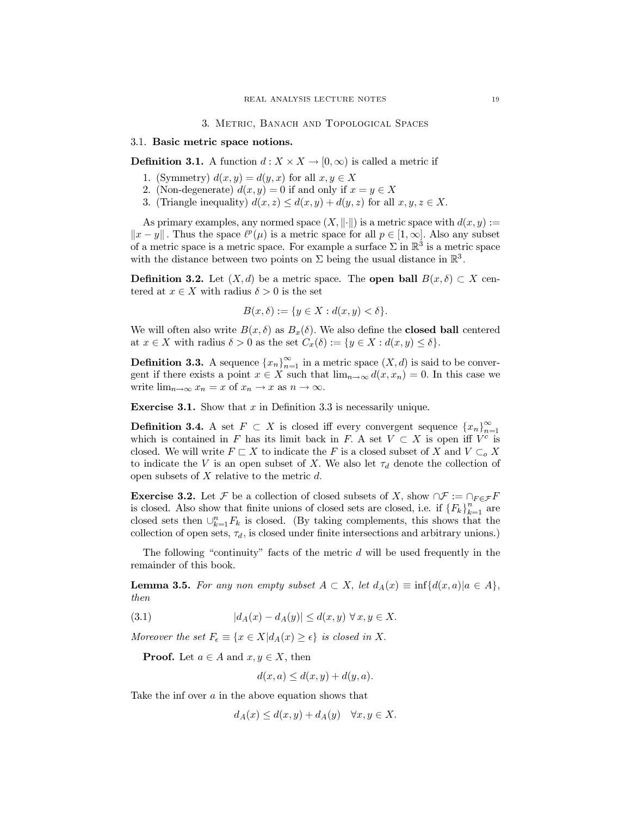# 3. METRIC, BANACH AND TOPOLOGICAL SPACES

# 3.1. Basic metric space notions.

**Definition 3.1.** A function  $d: X \times X \to [0, \infty)$  is called a metric if

- 1. (Symmetry)  $d(x, y) = d(y, x)$  for all  $x, y \in X$
- 2. (Non-degenerate)  $d(x, y) = 0$  if and only if  $x = y \in X$
- 3. (Triangle inequality)  $d(x, z) \leq d(x, y) + d(y, z)$  for all  $x, y, z \in X$ .

As primary examples, any normed space  $(X, \|\cdot\|)$  is a metric space with  $d(x, y) :=$  $||x-y||$ . Thus the space  $\ell^p(\mu)$  is a metric space for all  $p \in [1,\infty]$ . Also any subset of a metric space is a metric space. For example a surface  $\Sigma$  in  $\mathbb{R}^3$  is a metric space with the distance between two points on  $\Sigma$  being the usual distance in  $\mathbb{R}^3$ .

**Definition 3.2.** Let  $(X, d)$  be a metric space. The **open ball**  $B(x, \delta) \subset X$  centered at  $x \in X$  with radius  $\delta > 0$  is the set

$$
B(x,\delta) := \{ y \in X : d(x,y) < \delta \}.
$$

We will often also write  $B(x, \delta)$  as  $B_x(\delta)$ . We also define the **closed ball** centered at  $x \in X$  with radius  $\delta > 0$  as the set  $C_x(\delta) := \{y \in X : d(x, y) \leq \delta\}.$ 

**Definition 3.3.** A sequence  $\{x_n\}_{n=1}^{\infty}$  in a metric space  $(X, d)$  is said to be convergent if there exists a point  $x \in X$  such that  $\lim_{n \to \infty} d(x, x_n) = 0$ . In this case we write  $\lim_{n\to\infty} x_n = x$  of  $x_n \to x$  as  $n \to \infty$ .

**Exercise 3.1.** Show that  $x$  in Definition 3.3 is necessarily unique.

**Definition 3.4.** A set  $F \subset X$  is closed iff every convergent sequence  $\{x_n\}_{n=1}^{\infty}$ which is contained in F has its limit back in F. A set  $V \subset X$  is open iff  $V^c$  is closed. We will write  $F \sqsubset X$  to indicate the F is a closed subset of X and  $V \subset_{\alpha} X$ to indicate the V is an open subset of X. We also let  $\tau_d$  denote the collection of open subsets of  $X$  relative to the metric  $d$ .

**Exercise 3.2.** Let F be a collection of closed subsets of X, show  $\cap \mathcal{F} := \cap_{F \in \mathcal{F}} F$ is closed. Also show that finite unions of closed sets are closed, i.e. if  ${F_k}_{k=1}^n$  are closed sets then  $\bigcup_{k=1}^{n} F_k$  is closed. (By taking complements, this shows that the collection of open sets,  $\tau_d$ , is closed under finite intersections and arbitrary unions.)

The following "continuity" facts of the metric  $d$  will be used frequently in the remainder of this book.

**Lemma 3.5.** For any non empty subset  $A \subset X$ , let  $d_A(x) \equiv \inf \{d(x,a) | a \in A\}$ , then

$$
(3.1) \t\t\t |d_A(x) - d_A(y)| \le d(x, y) \forall x, y \in X.
$$

Moreover the set  $F_{\epsilon} \equiv \{x \in X | d_A(x) \geq \epsilon\}$  is closed in X.

**Proof.** Let  $a \in A$  and  $x, y \in X$ , then

$$
d(x, a) \le d(x, y) + d(y, a).
$$

Take the inf over  $a$  in the above equation shows that

$$
d_A(x) \le d(x, y) + d_A(y) \quad \forall x, y \in X.
$$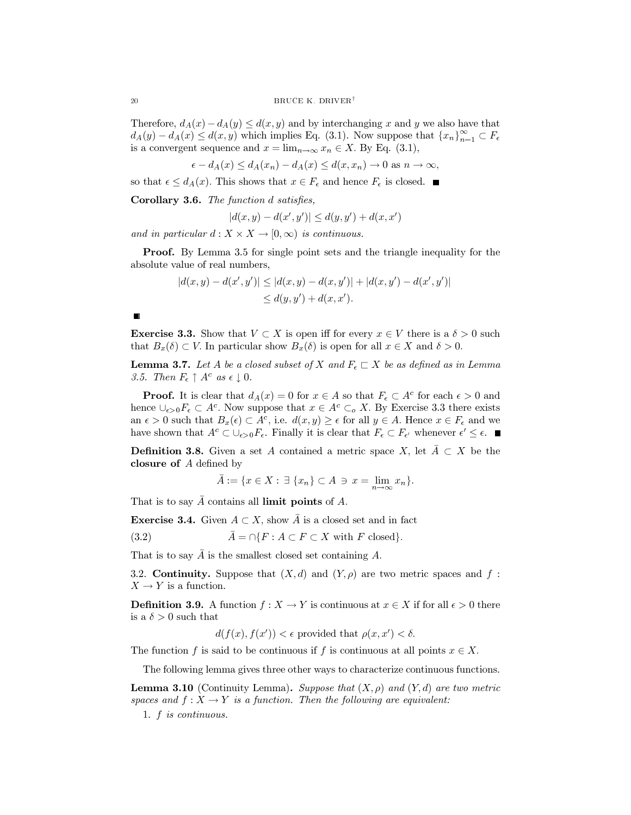Therefore,  $d_A(x) - d_A(y) \leq d(x, y)$  and by interchanging x and y we also have that  $d_A(y) - d_A(x) \leq d(x, y)$  which implies Eq. (3.1). Now suppose that  $\{x_n\}_{n=1}^{\infty} \subset F_{\epsilon}$ is a convergent sequence and  $x = \lim_{n \to \infty} x_n \in X$ . By Eq. (3.1),

 $\epsilon - d_A(x) \leq d_A(x_n) - d_A(x) \leq d(x, x_n) \to 0$  as  $n \to \infty$ ,

so that  $\epsilon \leq d_A(x)$ . This shows that  $x \in F_{\epsilon}$  and hence  $F_{\epsilon}$  is closed.

**Corollary 3.6.** The function d satisfies,

 $|d(x,y) - d(x',y')| \leq d(y,y') + d(x,x')$ 

and in particular  $d: X \times X \to [0, \infty)$  is continuous.

**Proof.** By Lemma 3.5 for single point sets and the triangle inequality for the absolute value of real numbers,

$$
|d(x,y) - d(x',y')| \le |d(x,y) - d(x,y')| + |d(x,y') - d(x',y')|
$$
  

$$
\le d(y,y') + d(x,x').
$$

**Exercise 3.3.** Show that  $V \subset X$  is open iff for every  $x \in V$  there is a  $\delta > 0$  such that  $B_x(\delta) \subset V$ . In particular show  $B_x(\delta)$  is open for all  $x \in X$  and  $\delta > 0$ .

**Lemma 3.7.** Let A be a closed subset of X and  $F_{\epsilon} \subset X$  be as defined as in Lemma 3.5. Then  $F_{\epsilon} \uparrow A^c$  as  $\epsilon \downarrow 0$ .

**Proof.** It is clear that  $d_A(x) = 0$  for  $x \in A$  so that  $F_{\epsilon} \subset A^c$  for each  $\epsilon > 0$  and hence  $\cup_{\epsilon>0} F_{\epsilon} \subset A^c$ . Now suppose that  $x \in A^c \subset_{\rho} X$ . By Exercise 3.3 there exists an  $\epsilon > 0$  such that  $B_x(\epsilon) \subset A^c$ , i.e.  $d(x, y) \geq \epsilon$  for all  $y \in A$ . Hence  $x \in F_{\epsilon}$  and we have shown that  $A^c \subset \bigcup_{\epsilon > 0} F_{\epsilon}$ . Finally it is clear that  $F_{\epsilon} \subset F_{\epsilon'}$  whenever  $\epsilon' \leq \epsilon$ .

**Definition 3.8.** Given a set A contained a metric space X, let  $A \subset X$  be the closure of  $A$  defined by

 $\bar{A} := \{x \in X : \exists \{x_n\} \subset A \ni x = \lim_{n \to \infty} x_n\}.$ 

That is to say  $\bar{A}$  contains all limit points of  $A$ .

**Exercise 3.4.** Given  $A \subset X$ , show  $\overline{A}$  is a closed set and in fact

 $\overline{A} = \bigcap \{F : A \subset F \subset X \text{ with } F \text{ closed}\}.$  $(3.2)$ 

That is to say  $\overline{A}$  is the smallest closed set containing A.

3.2. Continuity. Suppose that  $(X, d)$  and  $(Y, \rho)$  are two metric spaces and f:  $X \to Y$  is a function.

**Definition 3.9.** A function  $f: X \to Y$  is continuous at  $x \in X$  if for all  $\epsilon > 0$  there is a  $\delta > 0$  such that

 $d(f(x), f(x')) < \epsilon$  provided that  $\rho(x, x') < \delta$ .

The function f is said to be continuous if f is continuous at all points  $x \in X$ .

The following lemma gives three other ways to characterize continuous functions.

**Lemma 3.10** (Continuity Lemma). Suppose that  $(X, \rho)$  and  $(Y, d)$  are two metric spaces and  $f: X \to Y$  is a function. Then the following are equivalent:

1.  $f$  is continuous.

 $20$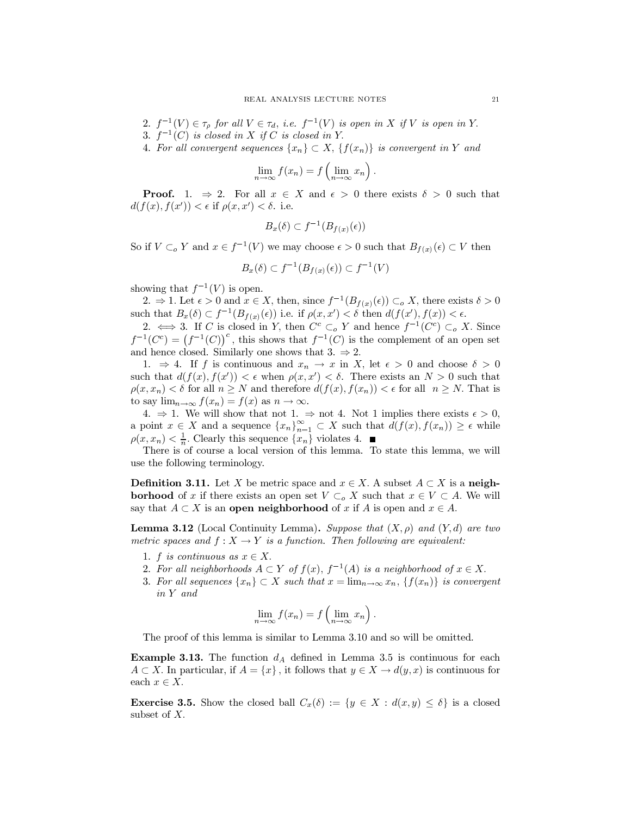2.  $f^{-1}(V) \in \tau_{\rho}$  for all  $V \in \tau_d$ , i.e.  $f^{-1}(V)$  is open in X if V is open in Y.

- 3.  $f^{-1}(C)$  is closed in X if C is closed in Y.
- 4. For all convergent sequences  $\{x_n\} \subset X$ ,  $\{f(x_n)\}\$ is convergent in Y and

$$
\lim_{n \to \infty} f(x_n) = f\left(\lim_{n \to \infty} x_n\right).
$$

**Proof.** 1.  $\Rightarrow$  2. For all  $x \in X$  and  $\epsilon > 0$  there exists  $\delta > 0$  such that  $d(f(x), f(x')) < \epsilon$  if  $\rho(x, x') < \delta$ . i.e.

$$
B_x(\delta) \subset f^{-1}(B_{f(x)}(\epsilon))
$$

So if  $V \subset_o Y$  and  $x \in f^{-1}(V)$  we may choose  $\epsilon > 0$  such that  $B_{f(x)}(\epsilon) \subset V$  then

$$
B_x(\delta) \subset f^{-1}(B_{f(x)}(\epsilon)) \subset f^{-1}(V)
$$

showing that  $f^{-1}(V)$  is open.

2.  $\Rightarrow$  1. Let  $\epsilon > 0$  and  $x \in X$ , then, since  $f^{-1}(B_{f(x)}(\epsilon)) \subset_{\alpha} X$ , there exists  $\delta > 0$ such that  $B_x(\delta) \subset f^{-1}(B_{f(x)}(\epsilon))$  i.e. if  $\rho(x, x') < \delta$  then  $d(f(x'), f(x)) < \epsilon$ .

2.  $\iff$  3. If C is closed in Y, then  $C^c \subset_{o} Y$  and hence  $f^{-1}(C^c) \subset_{o} X$ . Since  $f^{-1}(C^c) = (f^{-1}(C))^c$ , this shows that  $f^{-1}(C)$  is the complement of an open set and hence closed. Similarly one shows that 3.  $\Rightarrow$  2.

1.  $\Rightarrow$  4. If f is continuous and  $x_n \to x$  in X, let  $\epsilon > 0$  and choose  $\delta > 0$ such that  $d(f(x), f(x')) < \epsilon$  when  $\rho(x, x') < \delta$ . There exists an  $N > 0$  such that  $\rho(x, x_n) < \delta$  for all  $n \geq N$  and therefore  $d(f(x), f(x_n)) < \epsilon$  for all  $n \geq N$ . That is to say  $\lim_{n\to\infty} f(x_n) = f(x)$  as  $n \to \infty$ .

4.  $\Rightarrow$  1. We will show that not 1.  $\Rightarrow$  not 4. Not 1 implies there exists  $\epsilon > 0$ , a point  $x \in X$  and a sequence  $\{x_n\}_{n=1}^{\infty} \subset X$  such that  $d(f(x), f(x_n)) \geq \epsilon$  while  $\rho(x, x_n) < \frac{1}{n}$ . Clearly this sequence  $\{x_n\}$  violates 4.

There is of course a local version of this lemma. To state this lemma, we will use the following terminology.

**Definition 3.11.** Let X be metric space and  $x \in X$ . A subset  $A \subset X$  is a neigh**borhood** of x if there exists an open set  $V \subset_{o} X$  such that  $x \in V \subset A$ . We will say that  $A \subset X$  is an **open neighborhood** of x if A is open and  $x \in A$ .

**Lemma 3.12** (Local Continuity Lemma). Suppose that  $(X, \rho)$  and  $(Y, d)$  are two metric spaces and  $f: X \to Y$  is a function. Then following are equivalent:

- 1. f is continuous as  $x \in X$ .
- 2. For all neighborhoods  $A \subset Y$  of  $f(x)$ ,  $f^{-1}(A)$  is a neighborhood of  $x \in X$ .
- 3. For all sequences  $\{x_n\} \subset X$  such that  $x = \lim_{n \to \infty} x_n$ ,  $\{f(x_n)\}\$ is convergent in Y and

$$
\lim_{n \to \infty} f(x_n) = f\left(\lim_{n \to \infty} x_n\right).
$$

The proof of this lemma is similar to Lemma 3.10 and so will be omitted.

**Example 3.13.** The function  $d_A$  defined in Lemma 3.5 is continuous for each  $A \subset X$ . In particular, if  $A = \{x\}$ , it follows that  $y \in X \to d(y, x)$  is continuous for each  $x \in X$ .

**Exercise 3.5.** Show the closed ball  $C_x(\delta) := \{y \in X : d(x,y) \leq \delta\}$  is a closed subset of  $X$ .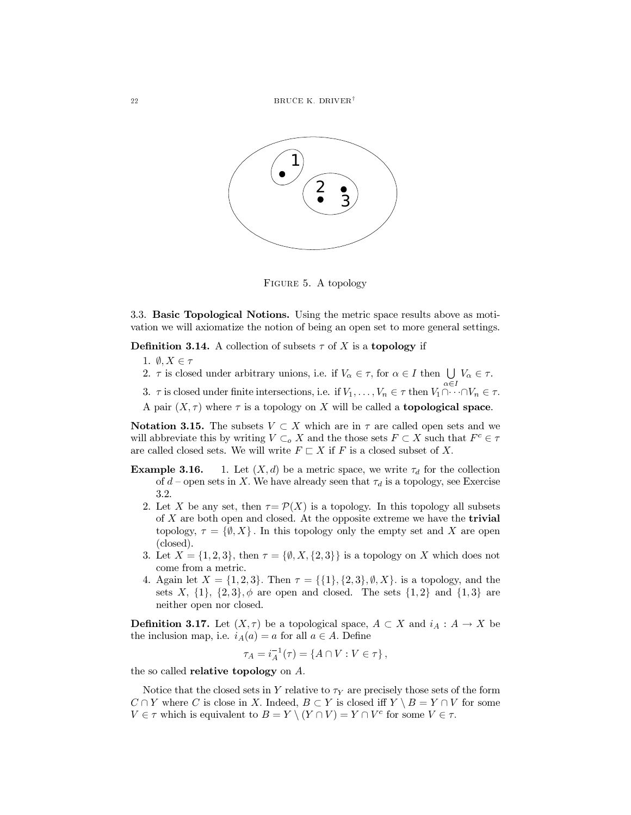

FIGURE 5. A topology

3.3. Basic Topological Notions. Using the metric space results above as motivation we will axiomatize the notion of being an open set to more general settings.

**Definition 3.14.** A collection of subsets  $\tau$  of X is a **topology** if

- 1.  $\emptyset, X \in \tau$
- 2.  $\tau$  is closed under arbitrary unions, i.e. if  $V_{\alpha} \in \tau$ , for  $\alpha \in I$  then  $\bigcup_{\alpha \in I} V_{\alpha} \in \tau$ .<br>3.  $\tau$  is closed under finite intersections, i.e. if  $V_1, \ldots, V_n \in \tau$  then  $V_1 \cap \cdots \cap V_n \in \tau$ .
- 
- A pair  $(X, \tau)$  where  $\tau$  is a topology on X will be called a **topological space**.

**Notation 3.15.** The subsets  $V \subset X$  which are in  $\tau$  are called open sets and we will abbreviate this by writing  $V \subset_o X$  and the those sets  $F \subset X$  such that  $F^c \in \tau$ are called closed sets. We will write  $F \subset X$  if F is a closed subset of X.

- Example 3.16. 1. Let  $(X, d)$  be a metric space, we write  $\tau_d$  for the collection of  $d$  – open sets in X. We have already seen that  $\tau_d$  is a topology, see Exercise 3.2.
	- 2. Let X be any set, then  $\tau = \mathcal{P}(X)$  is a topology. In this topology all subsets of X are both open and closed. At the opposite extreme we have the **trivial** topology,  $\tau = \{ \emptyset, X \}$ . In this topology only the empty set and X are open (closed).
	- 3. Let  $X = \{1,2,3\}$ , then  $\tau = \{\emptyset, X, \{2,3\}\}\$ is a topology on X which does not come from a metric.
	- 4. Again let  $X = \{1, 2, 3\}$ . Then  $\tau = \{\{1\}, \{2, 3\}, \emptyset, X\}$  is a topology, and the sets X,  $\{1\}$ ,  $\{2,3\}$ ,  $\phi$  are open and closed. The sets  $\{1,2\}$  and  $\{1,3\}$  are neither open nor closed.

**Definition 3.17.** Let  $(X, \tau)$  be a topological space,  $A \subset X$  and  $i_A : A \to X$  be the inclusion map, i.e.  $i_A(a) = a$  for all  $a \in A$ . Define

$$
\tau_A = i_A^{-1}(\tau) = \{ A \cap V : V \in \tau \},\
$$

the so called **relative topology** on  $A$ .

Notice that the closed sets in Y relative to  $\tau_Y$  are precisely those sets of the form  $C \cap Y$  where C is close in X. Indeed,  $B \subset Y$  is closed iff  $Y \setminus B = Y \cap V$  for some  $V \in \tau$  which is equivalent to  $B = Y \setminus (Y \cap V) = Y \cap V^c$  for some  $V \in \tau$ .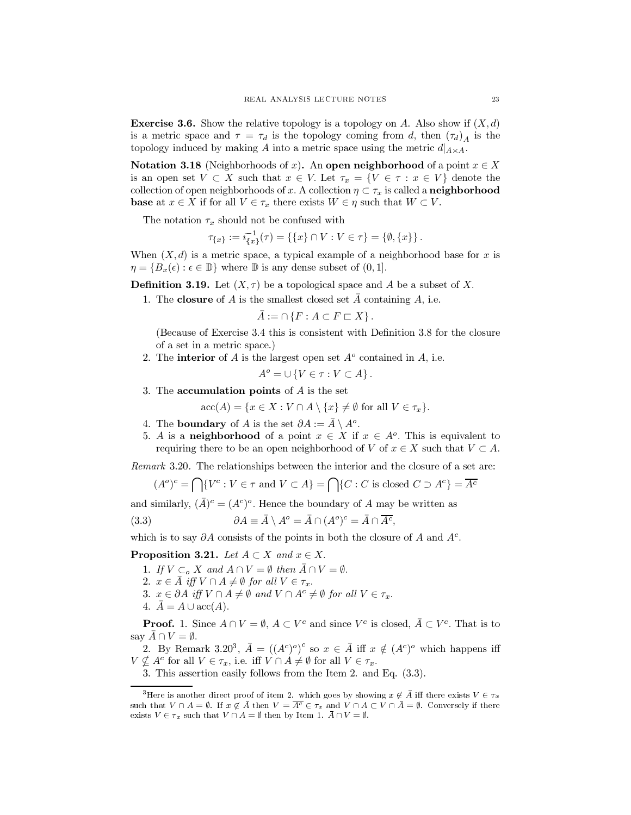**Exercise 3.6.** Show the relative topology is a topology on A. Also show if  $(X, d)$ is a metric space and  $\tau = \tau_d$  is the topology coming from d, then  $(\tau_d)_{A}$  is the topology induced by making A into a metric space using the metric  $d|_{A \times A}$ .

**Notation 3.18** (Neighborhoods of x). An open neighborhood of a point  $x \in X$ is an open set  $V \subset X$  such that  $x \in V$ . Let  $\tau_x = \{V \in \tau : x \in V\}$  denote the collection of open neighborhoods of x. A collection  $\eta \subset \tau_x$  is called a **neighborhood base** at  $x \in X$  if for all  $V \in \tau_x$  there exists  $W \in \eta$  such that  $W \subset V$ .

The notation  $\tau_x$  should not be confused with

$$
\tau_{\{x\}} := i_{\{x\}}^{-1}(\tau) = \{\{x\} \cap V : V \in \tau\} = \{\emptyset, \{x\}\}.
$$

When  $(X, d)$  is a metric space, a typical example of a neighborhood base for x is  $\eta = \{B_x(\epsilon) : \epsilon \in \mathbb{D}\}\$  where  $\mathbb D$  is any dense subset of  $(0, 1]$ .

**Definition 3.19.** Let  $(X, \tau)$  be a topological space and A be a subset of X.

1. The **closure** of A is the smallest closed set  $\overline{A}$  containing A, i.e.

$$
\bar{A} := \cap \{ F : A \subset F \sqsubset X \}
$$

(Because of Exercise 3.4 this is consistent with Definition 3.8 for the closure of a set in a metric space.)

2. The **interior** of A is the largest open set  $A^{\circ}$  contained in A, i.e.

$$
A^o=\cup\{V\in\tau:V\subset A\}\,.
$$

3. The accumulation points of  $A$  is the set

$$
\operatorname{acc}(A) = \{ x \in X : V \cap A \setminus \{x\} \neq \emptyset \text{ for all } V \in \tau_x \}.
$$

- 4. The **boundary** of A is the set  $\partial A := \overline{A} \setminus A^{\circ}$ .
- 5. A is a neighborhood of a point  $x \in X$  if  $x \in A^o$ . This is equivalent to requiring there to be an open neighborhood of V of  $x \in X$  such that  $V \subset A$ .

*Remark* 3.20. The relationships between the interior and the closure of a set are:

$$
(A^o)^c = \bigcap \{V^c : V \in \tau \text{ and } V \subset A\} = \bigcap \{C : C \text{ is closed } C \supset A^c\} = \overline{A^c}
$$

and similarly,  $(\bar{A})^c = (A^c)^o$ . Hence the boundary of A may be written as

(3.3) 
$$
\partial A \equiv \bar{A} \setminus A^o = \bar{A} \cap (A^o)^c = \bar{A} \cap \overline{A^c}
$$

which is to say  $\partial A$  consists of the points in both the closure of A and  $A^c$ .

**Proposition 3.21.** Let  $A \subset X$  and  $x \in X$ .

- 1. If  $V \subset_{\alpha} X$  and  $A \cap V = \emptyset$  then  $\overline{A} \cap V = \emptyset$ .
- 2.  $x \in \overline{A}$  iff  $V \cap A \neq \emptyset$  for all  $V \in \tau_x$ .
- 3.  $x \in \partial A$  iff  $V \cap A \neq \emptyset$  and  $V \cap A^c \neq \emptyset$  for all  $V \in \tau_x$ .
- 4.  $A = A \cup \operatorname{acc}(A)$ .

**Proof.** 1. Since  $A \cap V = \emptyset$ ,  $A \subset V^c$  and since  $V^c$  is closed,  $\overline{A} \subset V^c$ . That is to say  $A \cap V = \emptyset$ .

2. By Remark 3.20<sup>3</sup>,  $\bar{A} = ((A^c)^o)^c$  so  $x \in \bar{A}$  iff  $x \notin (A^c)^o$  which happens iff  $V \nsubseteq A^c$  for all  $V \in \tau_x$ , i.e. iff  $V \cap A \neq \emptyset$  for all  $V \in \tau_x$ .

3. This assertion easily follows from the Item 2. and Eq.  $(3.3)$ .

<sup>&</sup>lt;sup>3</sup>Here is another direct proof of item 2. which goes by showing  $x \notin \overline{A}$  iff there exists  $V \in \tau_x$ such that  $V \cap A = \emptyset$ . If  $x \notin \overline{A}$  then  $V = \overline{A^c} \in \tau_x$  and  $V \cap A \subset V \cap \overline{A} = \emptyset$ . Conversely if there exists  $V \in \tau_x$  such that  $V \cap A = \emptyset$  then by Item 1.  $\overline{A} \cap V = \emptyset$ .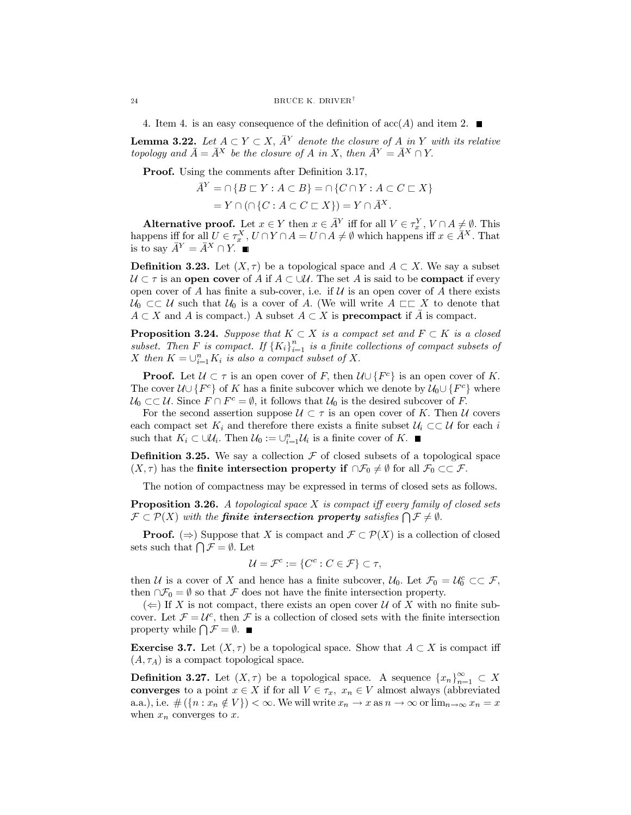4. Item 4. is an easy consequence of the definition of  $\operatorname{acc}(A)$  and item 2.

**Lemma 3.22.** Let  $A \subset Y \subset X$ ,  $\overline{A}^{Y}$  denote the closure of A in Y with its relative topology and  $\bar{A} = \bar{A}^X$  be the closure of A in X, then  $\bar{A}^Y = \bar{A}^X \cap Y$ .

**Proof.** Using the comments after Definition 3.17,

$$
A^Y = \cap \{B \sqsubset Y : A \subset B\} = \cap \{C \cap Y : A \subset C \sqsubset X\}
$$
  
= 
$$
Y \cap (\cap \{C : A \subset C \sqsubset X\}) = Y \cap \bar{A}^X.
$$

**Alternative proof.** Let  $x \in Y$  then  $x \in \overline{A}^Y$  iff for all  $V \in \tau_x^Y$ ,  $V \cap A \neq \emptyset$ . This happens iff for all  $U \in \tau_x^X$ ,  $U \cap Y \cap A = U \cap A \neq \emptyset$  which happens iff  $x \in \overline{A}^X$ . That is to say  $\bar{A}^Y = \bar{A}^X \cap Y$ .

**Definition 3.23.** Let  $(X, \tau)$  be a topological space and  $A \subset X$ . We say a subset  $\mathcal{U} \subset \tau$  is an open cover of A if  $A \subset \cup \mathcal{U}$ . The set A is said to be compact if every open cover of A has finite a sub-cover, i.e. if  $U$  is an open cover of A there exists  $\mathcal{U}_0 \subset\subset \mathcal{U}$  such that  $\mathcal{U}_0$  is a cover of A. (We will write  $A \subset\subset X$  to denote that  $A \subset X$  and A is compact.) A subset  $A \subset X$  is **precompact** if  $\overline{A}$  is compact.

**Proposition 3.24.** Suppose that  $K \subset X$  is a compact set and  $F \subset K$  is a closed subset. Then F is compact. If  ${K_i}_{i=1}^n$  is a finite collections of compact subsets of X then  $K = \bigcup_{i=1}^{n} K_i$  is also a compact subset of X.

**Proof.** Let  $\mathcal{U} \subset \tau$  is an open cover of F, then  $\mathcal{U} \cup \{F^c\}$  is an open cover of K. The cover  $\mathcal{U} \cup \{F^c\}$  of K has a finite subcover which we denote by  $\mathcal{U}_0 \cup \{F^c\}$  where  $\mathcal{U}_0 \subset\subset \mathcal{U}$ . Since  $F \cap F^c = \emptyset$ , it follows that  $\mathcal{U}_0$  is the desired subcover of F.

For the second assertion suppose  $\mathcal{U} \subset \tau$  is an open cover of K. Then  $\mathcal{U}$  covers each compact set  $K_i$  and therefore there exists a finite subset  $\mathcal{U}_i \subset\subset \mathcal{U}$  for each i such that  $K_i \subset \cup \mathcal{U}_i$ . Then  $\mathcal{U}_0 := \cup_{i=1}^n \mathcal{U}_i$  is a finite cover of K.

**Definition 3.25.** We say a collection  $\mathcal F$  of closed subsets of a topological space  $(X,\tau)$  has the **finite intersection property if**  $\cap \mathcal{F}_0 \neq \emptyset$  for all  $\mathcal{F}_0 \subset\subset \mathcal{F}$ .

The notion of compactness may be expressed in terms of closed sets as follows.

**Proposition 3.26.** A topological space X is compact iff every family of closed sets  $\mathcal{F} \subset \mathcal{P}(X)$  with the **finite intersection property** satisfies  $\bigcap \mathcal{F} \neq \emptyset$ .

**Proof.** ( $\Rightarrow$ ) Suppose that X is compact and  $\mathcal{F} \subset \mathcal{P}(X)$  is a collection of closed sets such that  $\bigcap \mathcal{F} = \emptyset$ . Let

$$
\mathcal{U} = \mathcal{F}^c := \{C^c : C \in \mathcal{F}\} \subset \tau,
$$

then U is a cover of X and hence has a finite subcover,  $U_0$ . Let  $\mathcal{F}_0 = U_0^c \subset \mathcal{F}$ , then  $\cap \mathcal{F}_0 = \emptyset$  so that  $\mathcal F$  does not have the finite intersection property.

 $(\Leftarrow)$  If X is not compact, there exists an open cover U of X with no finite subcover. Let  $\mathcal{F} = \mathcal{U}^c$ , then  $\mathcal F$  is a collection of closed sets with the finite intersection property while  $\bigcap \mathcal{F} = \emptyset$ .

**Exercise 3.7.** Let  $(X, \tau)$  be a topological space. Show that  $A \subset X$  is compact iff  $(A, \tau_A)$  is a compact topological space.

**Definition 3.27.** Let  $(X, \tau)$  be a topological space. A sequence  $\{x_n\}_{n=1}^{\infty} \subset X$ converges to a point  $x \in X$  if for all  $V \in \tau_x$ ,  $x_n \in V$  almost always (abbreviated a.a.), i.e.  $\#(\lbrace n : x_n \notin V \rbrace) < \infty$ . We will write  $x_n \to x$  as  $n \to \infty$  or  $\lim_{n \to \infty} x_n = x$ when  $x_n$  converges to x.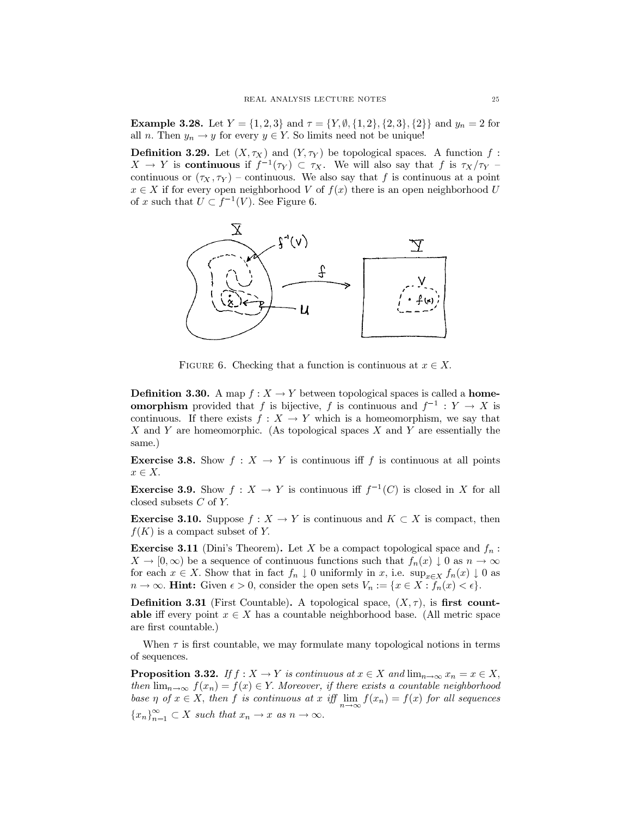**Example 3.28.** Let  $Y = \{1, 2, 3\}$  and  $\tau = \{Y, \emptyset, \{1, 2\}, \{2, 3\}, \{2\}\}\$ and  $y_n = 2$  for all *n*. Then  $y_n \to y$  for every  $y \in Y$ . So limits need not be unique!

**Definition 3.29.** Let  $(X, \tau_X)$  and  $(Y, \tau_Y)$  be topological spaces. A function f:  $X \to Y$  is continuous if  $f^{-1}(\tau_Y) \subset \tau_X$ . We will also say that f is  $\tau_X/\tau_Y$ continuous or  $(\tau_X, \tau_Y)$  – continuous. We also say that f is continuous at a point  $x \in X$  if for every open neighborhood V of  $f(x)$  there is an open neighborhood U of x such that  $U \subset f^{-1}(V)$ . See Figure 6.



FIGURE 6. Checking that a function is continuous at  $x \in X$ .

**Definition 3.30.** A map  $f: X \to Y$  between topological spaces is called a **homeomorphism** provided that f is bijective, f is continuous and  $f^{-1}: Y \to X$  is continuous. If there exists  $f: X \to Y$  which is a homeomorphism, we say that X and Y are homeomorphic. (As topological spaces X and Y are essentially the same.)

**Exercise 3.8.** Show  $f: X \to Y$  is continuous iff f is continuous at all points  $x \in X$ .

**Exercise 3.9.** Show  $f: X \to Y$  is continuous iff  $f^{-1}(C)$  is closed in X for all closed subsets  $C$  of  $Y$ .

**Exercise 3.10.** Suppose  $f: X \to Y$  is continuous and  $K \subset X$  is compact, then  $f(K)$  is a compact subset of Y.

**Exercise 3.11** (Dini's Theorem). Let X be a compact topological space and  $f_n$ :  $X \to [0,\infty)$  be a sequence of continuous functions such that  $f_n(x) \downarrow 0$  as  $n \to \infty$ for each  $x \in X$ . Show that in fact  $f_n \downarrow 0$  uniformly in x, i.e.  $\sup_{x \in X} f_n(x) \downarrow 0$  as  $n \to \infty$ . **Hint:** Given  $\epsilon > 0$ , consider the open sets  $V_n := \{x \in X : f_n(x) < \epsilon\}.$ 

**Definition 3.31** (First Countable). A topological space,  $(X, \tau)$ , is first count**able** iff every point  $x \in X$  has a countable neighborhood base. (All metric space are first countable.)

When  $\tau$  is first countable, we may formulate many topological notions in terms of sequences.

**Proposition 3.32.** If  $f: X \to Y$  is continuous at  $x \in X$  and  $\lim_{n \to \infty} x_n = x \in X$ , then  $\lim_{n\to\infty} f(x_n) = f(x) \in Y$ . Moreover, if there exists a countable neighborhood base  $\eta$  of  $x \in X$ , then f is continuous at x iff  $\lim_{n \to \infty} f(x_n) = f(x)$  for all sequences  ${x_n}_{n=1}^{\infty} \subset X$  such that  $x_n \to x$  as  $n \to \infty$ .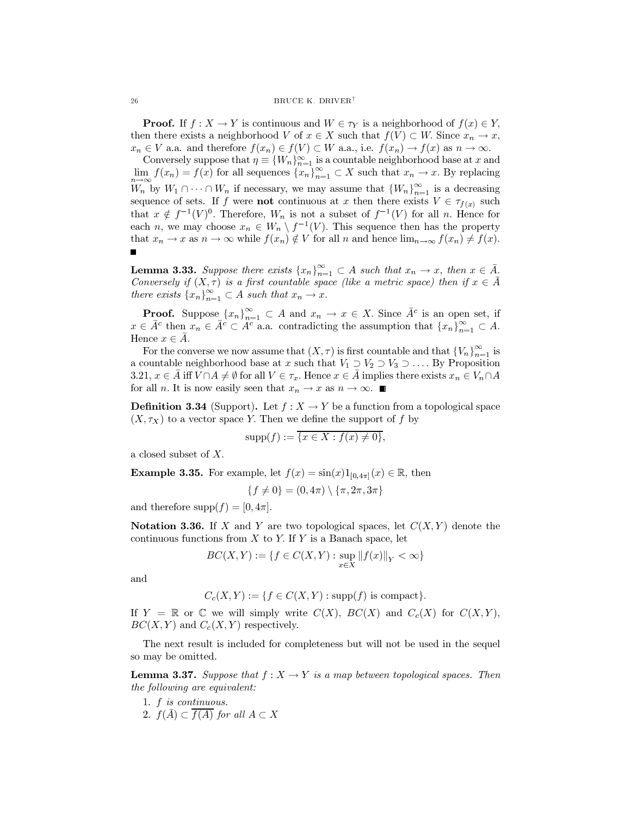**Proof.** If  $f: X \to Y$  is continuous and  $W \in \tau_Y$  is a neighborhood of  $f(x) \in Y$ , then there exists a neighborhood V of  $x \in X$  such that  $f(V) \subset W$ . Since  $x_n \to x$ ,  $x_n \in V$  a.a. and therefore  $f(x_n) \in f(V) \subset W$  a.a., i.e.  $f(x_n) \to f(x)$  as  $n \to \infty$ .

Conversely suppose that  $\eta \equiv \{W_n\}_{n=1}^{\infty}$  is a countable neighborhood base at x and  $\lim_{n \to \infty} f(x_n) = f(x)$  for all sequences  $\{x_n\}_{n=1}^{\infty} \subset X$  such that  $x_n \to x$ . By replacing  $W_n$  by  $W_1 \cap \cdots \cap W_n$  if necessary, we may assume that  $\{W_n\}_{n=1}^{\infty}$  is a decreasing sequence of sets. If f were **not** continuous at x then there exists  $V \in \tau_{f(x)}$  such that  $x \notin f^{-1}(V)^0$ . Therefore,  $W_n$  is not a subset of  $f^{-1}(V)$  for all n. Hence for each n, we may choose  $x_n \in W_n \setminus f^{-1}(V)$ . This sequence then has the property that  $x_n \to x$  as  $n \to \infty$  while  $f(x_n) \notin V$  for all n and hence  $\lim_{n \to \infty} f(x_n) \neq f(x)$ .

**Lemma 3.33.** Suppose there exists  $\{x_n\}_{n=1}^{\infty} \subset A$  such that  $x_n \to x$ , then  $x \in \overline{A}$ . Conversely if  $(X, \tau)$  is a first countable space (like a metric space) then if  $x \in \overline{A}$ there exists  $\{x_n\}_{n=1}^{\infty} \subset A$  such that  $x_n \to x$ .

**Proof.** Suppose  $\{x_n\}_{n=1}^{\infty} \subset A$  and  $x_n \to x \in X$ . Since  $\bar{A}^c$  is an open set, if  $x \in \bar{A}^c$  then  $x_n \in \bar{A}^c \subset A^c$  a.a. contradicting the assumption that  $\{x_n\}_{n=1}^{\infty} \subset A$ . Hence  $x \in \overline{A}$ .

For the converse we now assume that  $(X, \tau)$  is first countable and that  $\{V_n\}_{n=1}^{\infty}$  is a countable neighborhood base at x such that  $V_1 \supset V_2 \supset V_3 \supset \dots$  By Proposition 3.21,  $x \in A$  iff  $V \cap A \neq \emptyset$  for all  $V \in \tau_x$ . Hence  $x \in A$  implies there exists  $x_n \in V_n \cap A$ for all *n*. It is now easily seen that  $x_n \to x$  as  $n \to \infty$ .

**Definition 3.34** (Support). Let  $f: X \to Y$  be a function from a topological space  $(X, \tau_X)$  to a vector space Y. Then we define the support of f by

$$
supp(f) := \overline{\{x \in X : f(x) \neq 0\}},
$$

a closed subset of  $X$ .

**Example 3.35.** For example, let  $f(x) = \sin(x)1_{[0,4\pi]}(x) \in \mathbb{R}$ , then

$$
[f\neq 0]=(0,4\pi)\setminus\{\pi,2\pi,3\pi\}
$$

and therefore supp $(f) = [0, 4\pi]$ .

**Notation 3.36.** If X and Y are two topological spaces, let  $C(X, Y)$  denote the continuous functions from  $X$  to  $Y$ . If  $Y$  is a Banach space, let

$$
BC(X, Y) := \{ f \in C(X, Y) : \sup_{x \in X} ||f(x)||_Y < \infty \}
$$

and

$$
C_c(X,Y) := \{ f \in C(X,Y) : \text{supp}(f) \text{ is compact} \}.
$$

If  $Y = \mathbb{R}$  or  $\mathbb{C}$  we will simply write  $C(X)$ ,  $BC(X)$  and  $C_c(X)$  for  $C(X,Y)$ ,  $BC(X, Y)$  and  $C_c(X, Y)$  respectively.

The next result is included for completeness but will not be used in the sequel so may be omitted.

**Lemma 3.37.** Suppose that  $f: X \to Y$  is a map between topological spaces. Then the following are equivalent:

- 1.  $f$  is continuous.
- 2.  $f(\overline{A}) \subset \overline{f(A)}$  for all  $A \subset X$

26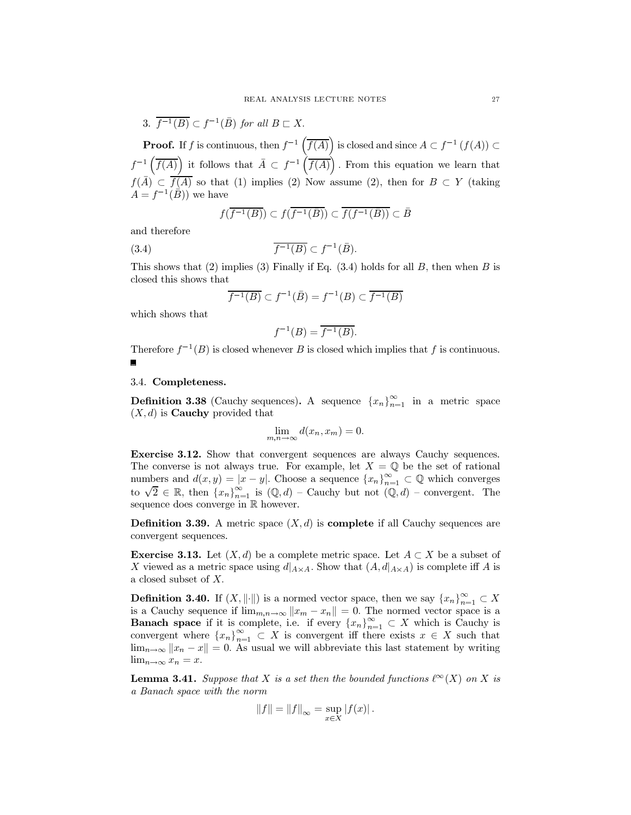3.  $\overline{f^{-1}(B)} \subset f^{-1}(\overline{B})$  for all  $B \sqsubset X$ .

**Proof.** If f is continuous, then  $f^{-1}(\overline{f(A)})$  is closed and since  $A \subset f^{-1}(f(A)) \subset$  $f^{-1}(\overline{f(A)})$  it follows that  $\overline{A} \subset f^{-1}(\overline{f(A)})$ . From this equation we learn that  $f(\bar{A}) \subset \overline{f(A)}$  so that (1) implies (2) Now assume (2), then for  $B \subset Y$  (taking  $A = f^{-1}(\overline{B}))$  we have

$$
f(\overline{f^{-1}(B)}) \subset f(\overline{f^{-1}(\overline{B})}) \subset \overline{f(f^{-1}(\overline{B}))} \subset \overline{B}
$$

and therefore

 $\overline{f^{-1}(B)} \subset f^{-1}(\overline{B}).$  $(3.4)$ 

This shows that (2) implies (3) Finally if Eq.  $(3.4)$  holds for all B, then when B is closed this shows that

$$
\overline{f^{-1}(B)} \subset f^{-1}(\bar{B}) = f^{-1}(B) \subset \overline{f^{-1}(B)}
$$

which shows that

$$
f^{-1}(B) = \overline{f^{-1}(B)}.
$$

Therefore  $f^{-1}(B)$  is closed whenever B is closed which implies that f is continuous.

3.4. Completeness.

**Definition 3.38** (Cauchy sequences). A sequence  $\{x_n\}_{n=1}^{\infty}$  in a metric space  $(X, d)$  is **Cauchy** provided that

$$
\lim_{m,n \to \infty} d(x_n, x_m) = 0.
$$

**Exercise 3.12.** Show that convergent sequences are always Cauchy sequences. The converse is not always true. For example, let  $X = \mathbb{Q}$  be the set of rational numbers and  $d(x, y) = |x - y|$ . Choose a sequence  $\{x_n\}_{n=1}^{\infty} \subset \mathbb{Q}$  which converges to  $\sqrt{2} \in \mathbb{R}$ , then  $\{x_n\}_{n=1}^{\infty}$  is  $(\mathbb{Q}, d)$  – Cauchy but not  $(\mathbb{Q}, d)$  – convergent. The sequence does converge in  $\mathbb R$  however.

**Definition 3.39.** A metric space  $(X, d)$  is **complete** if all Cauchy sequences are convergent sequences.

**Exercise 3.13.** Let  $(X, d)$  be a complete metric space. Let  $A \subset X$  be a subset of X viewed as a metric space using  $d|_{A \times A}$ . Show that  $(A, d|_{A \times A})$  is complete iff A is a closed subset of  $X$ .

**Definition 3.40.** If  $(X, \|\cdot\|)$  is a normed vector space, then we say  $\{x_n\}_{n=1}^{\infty} \subset X$ is a Cauchy sequence if  $\lim_{m,n\to\infty} ||x_m - x_n|| = 0$ . The normed vector space is a **Banach space** if it is complete, i.e. if every  $\{x_n\}_{n=1}^{\infty} \subset X$  which is Cauchy is convergent where  $\{x_n\}_{n=1}^{\infty} \subset X$  is convergent iff there exists  $x \in X$  such that  $\lim_{n\to\infty} ||x_n - x|| = 0$ . As usual we will abbreviate this last statement by writing  $\lim_{n\to\infty}x_n=x.$ 

**Lemma 3.41.** Suppose that X is a set then the bounded functions  $\ell^{\infty}(X)$  on X is a Banach space with the norm

$$
||f|| = ||f||_{\infty} = \sup_{x \in X} |f(x)|.
$$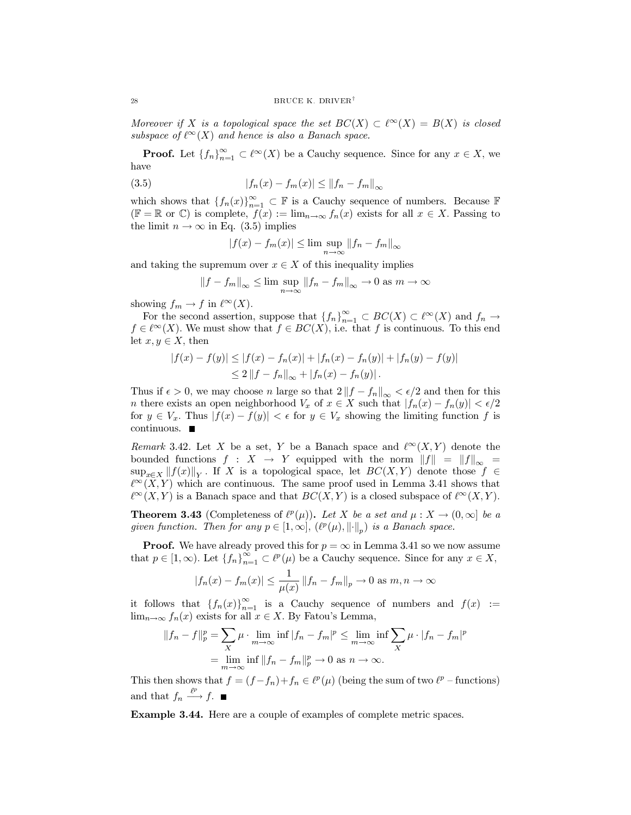Moreover if X is a topological space the set  $BC(X) \subset \ell^{\infty}(X) = B(X)$  is closed subspace of  $\ell^{\infty}(X)$  and hence is also a Banach space.

**Proof.** Let  $\{f_n\}_{n=1}^{\infty} \subset \ell^{\infty}(X)$  be a Cauchy sequence. Since for any  $x \in X$ , we have

(3.5) 
$$
|f_n(x) - f_m(x)| \le ||f_n - f_m||_{\infty}
$$

which shows that  $\{f_n(x)\}_{n=1}^{\infty} \subset \mathbb{F}$  is a Cauchy sequence of numbers. Because  $\mathbb{F}$  $(\mathbb{F} = \mathbb{R}$  or  $\mathbb{C})$  is complete,  $f(x) := \lim_{n \to \infty} f_n(x)$  exists for all  $x \in X$ . Passing to the limit  $n \to \infty$  in Eq. (3.5) implies

$$
|f(x) - f_m(x)| \le \limsup_{n \to \infty} ||f_n - f_m||_{\infty}
$$

and taking the supremum over  $x \in X$  of this inequality implies

$$
||f - f_m||_{\infty} \le \lim \sup_{n \to \infty} ||f_n - f_m||_{\infty} \to 0 \text{ as } m \to \infty
$$

showing  $f_m \to f$  in  $\ell^{\infty}(X)$ .

For the second assertion, suppose that  $\{f_n\}_{n=1}^{\infty} \subset BC(X) \subset \ell^{\infty}(X)$  and  $f_n \to$  $f \in \ell^{\infty}(X)$ . We must show that  $f \in BC(X)$ , i.e. that f is continuous. To this end let  $x, y \in X$ , then

$$
|f(x) - f(y)| \le |f(x) - f_n(x)| + |f_n(x) - f_n(y)| + |f_n(y) - f(y)|
$$
  
\n
$$
\le 2 ||f - f_n||_{\infty} + |f_n(x) - f_n(y)|.
$$

Thus if  $\epsilon > 0$ , we may choose *n* large so that  $2||f - f_n||_{\infty} < \epsilon/2$  and then for this *n* there exists an open neighborhood  $V_x$  of  $x \in X$  such that  $|f_n(x) - f_n(y)| < \epsilon/2$ for  $y \in V_x$ . Thus  $|f(x) - f(y)| < \epsilon$  for  $y \in V_x$  showing the limiting function f is continuous.  $\blacksquare$ 

Remark 3.42. Let X be a set, Y be a Banach space and  $\ell^{\infty}(X,Y)$  denote the bounded functions  $f: X \rightarrow Y$  equipped with the norm  $||f|| = ||f||_{\infty}$  $\sup_{x\in X} ||f(x)||_Y$ . If X is a topological space, let  $BC(X, Y)$  denote those  $f \in$  $\ell^{\infty}(X,Y)$  which are continuous. The same proof used in Lemma 3.41 shows that  $\ell^{\infty}(X,Y)$  is a Banach space and that  $BC(X,Y)$  is a closed subspace of  $\ell^{\infty}(X,Y)$ .

**Theorem 3.43** (Completeness of  $\ell^p(\mu)$ ). Let X be a set and  $\mu : X \to (0, \infty]$  be a given function. Then for any  $p \in [1,\infty]$ ,  $(\ell^p(\mu),\lVert \cdot \rVert_n)$  is a Banach space.

**Proof.** We have already proved this for  $p = \infty$  in Lemma 3.41 so we now assume that  $p \in [1,\infty)$ . Let  $\{f_n\}_{n=1}^{\infty} \subset \ell^p(\mu)$  be a Cauchy sequence. Since for any  $x \in X$ ,

$$
|f_n(x) - f_m(x)| \le \frac{1}{\mu(x)} ||f_n - f_m||_p \to 0 \text{ as } m, n \to \infty
$$

it follows that  $\{f_n(x)\}_{n=1}^{\infty}$  is a Cauchy sequence of numbers and  $f(x) :=$  $\lim_{n\to\infty} f_n(x)$  exists for all  $x \in X$ . By Fatou's Lemma,

$$
||f_n - f||_p^p = \sum_X \mu \cdot \lim_{m \to \infty} \inf |f_n - f_m|^p \le \lim_{m \to \infty} \inf \sum_X \mu \cdot |f_n - f_m|^p
$$
  
= 
$$
\lim_{m \to \infty} \inf ||f_n - f_m||_p^p \to 0 \text{ as } n \to \infty.
$$

This then shows that  $f = (f - f_n) + f_n \in \ell^p(\mu)$  (being the sum of two  $\ell^p$  – functions) and that  $f_n \xrightarrow{\ell^p} f$ .

**Example 3.44.** Here are a couple of examples of complete metric spaces.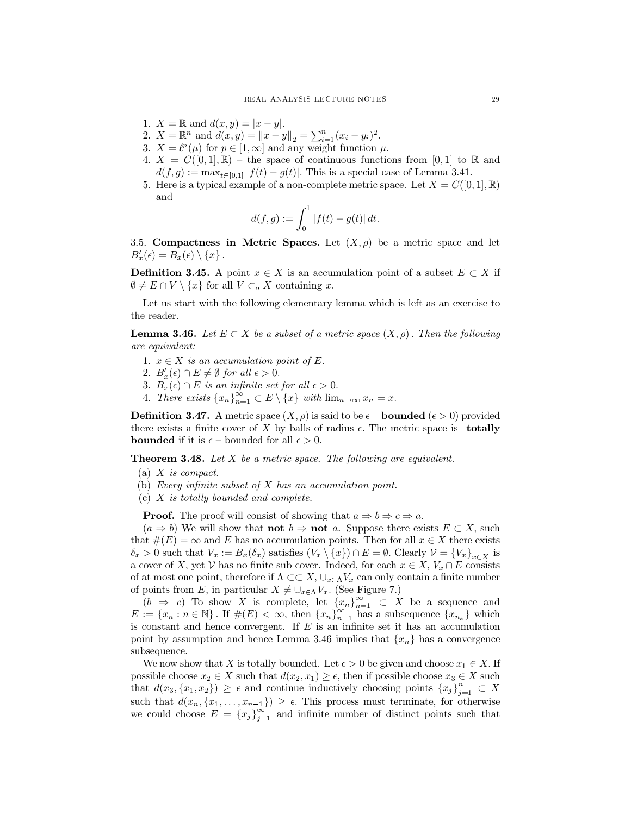- 1.  $X = \mathbb{R}$  and  $d(x, y) = |x y|$ .
- 2.  $X = \mathbb{R}^n$  and  $d(x, y) = ||x y||_2 = \sum_{i=1}^n (x_i y_i)^2$ .
- 3.  $X = \ell^p(\mu)$  for  $p \in [1, \infty]$  and any weight function  $\mu$ .
- 4.  $X = C([0,1], \mathbb{R})$  the space of continuous functions from [0,1] to R and  $d(f,g) := \max_{t \in [0,1]} |f(t) - g(t)|$ . This is a special case of Lemma 3.41.
- 5. Here is a typical example of a non-complete metric space. Let  $X = C([0,1], \mathbb{R})$ and

$$
d(f,g) := \int_0^1 |f(t) - g(t)| dt.
$$

3.5. Compactness in Metric Spaces. Let  $(X, \rho)$  be a metric space and let  $B'_x(\epsilon) = B_x(\epsilon) \setminus \{x\}.$ 

**Definition 3.45.** A point  $x \in X$  is an accumulation point of a subset  $E \subset X$  if  $\emptyset \neq E \cap V \setminus \{x\}$  for all  $V \subset_o X$  containing x.

Let us start with the following elementary lemma which is left as an exercise to the reader.

**Lemma 3.46.** Let  $E \subset X$  be a subset of a metric space  $(X, \rho)$ . Then the following are equivalent:

- 1.  $x \in X$  is an accumulation point of E.
- 2.  $B'_x(\epsilon) \cap E \neq \emptyset$  for all  $\epsilon > 0$ .
- 
- 3.  $B_x(\epsilon) \cap E$  is an infinite set for all  $\epsilon > 0$ .<br>4. There exists  $\{x_n\}_{n=1}^{\infty} \subset E \setminus \{x\}$  with  $\lim_{n \to \infty} x_n = x$ .

**Definition 3.47.** A metric space  $(X, \rho)$  is said to be  $\epsilon$  – **bounded** ( $\epsilon > 0$ ) provided there exists a finite cover of  $X$  by balls of radius  $\epsilon$ . The metric space is **totally bounded** if it is  $\epsilon$  – bounded for all  $\epsilon > 0$ .

**Theorem 3.48.** Let  $X$  be a metric space. The following are equivalent.

- $(a)$  X is compact.
- (b) Every infinite subset of  $X$  has an accumulation point.
- (c)  $X$  is totally bounded and complete.

**Proof.** The proof will consist of showing that  $a \Rightarrow b \Rightarrow c \Rightarrow a$ .

 $(a \Rightarrow b)$  We will show that **not**  $b \Rightarrow$  **not** a. Suppose there exists  $E \subset X$ , such that  $\#(E) = \infty$  and E has no accumulation points. Then for all  $x \in X$  there exists  $\delta_x > 0$  such that  $V_x := B_x(\delta_x)$  satisfies  $(V_x \setminus \{x\}) \cap E = \emptyset$ . Clearly  $\mathcal{V} = \{V_x\}_{x \in X}$  is a cover of X, yet V has no finite sub cover. Indeed, for each  $x \in X$ ,  $V_x \cap E$  consists of at most one point, therefore if  $\Lambda \subset \subset X$ ,  $\cup_{x \in \Lambda} V_x$  can only contain a finite number of points from E, in particular  $X \neq \bigcup_{x \in \Lambda} V_x$ . (See Figure 7.)

 $(b \Rightarrow c)$  To show X is complete, let  $\{x_n\}_{n=1}^{\infty} \subset X$  be a sequence and  $E := \{x_n : n \in \mathbb{N}\}\.$  If  $\#(E) < \infty$ , then  $\{x_n\}_{n=1}^{\infty}$  has a subsequence  $\{x_{n_k}\}\)$  which is constant and hence convergent. If  $E$  is an infinite set it has an accumulation point by assumption and hence Lemma 3.46 implies that  $\{x_n\}$  has a convergence subsequence.

We now show that X is totally bounded. Let  $\epsilon > 0$  be given and choose  $x_1 \in X$ . If possible choose  $x_2 \in X$  such that  $d(x_2, x_1) \geq \epsilon$ , then if possible choose  $x_3 \in X$  such that  $d(x_3, \{x_1, x_2\}) \geq \epsilon$  and continue inductively choosing points  $\{x_j\}_{j=1}^n \subset X$ such that  $d(x_n, \{x_1, \ldots, x_{n-1}\}) \geq \epsilon$ . This process must terminate, for otherwise we could choose  $E = \{x_j\}_{i=1}^{\infty}$  and infinite number of distinct points such that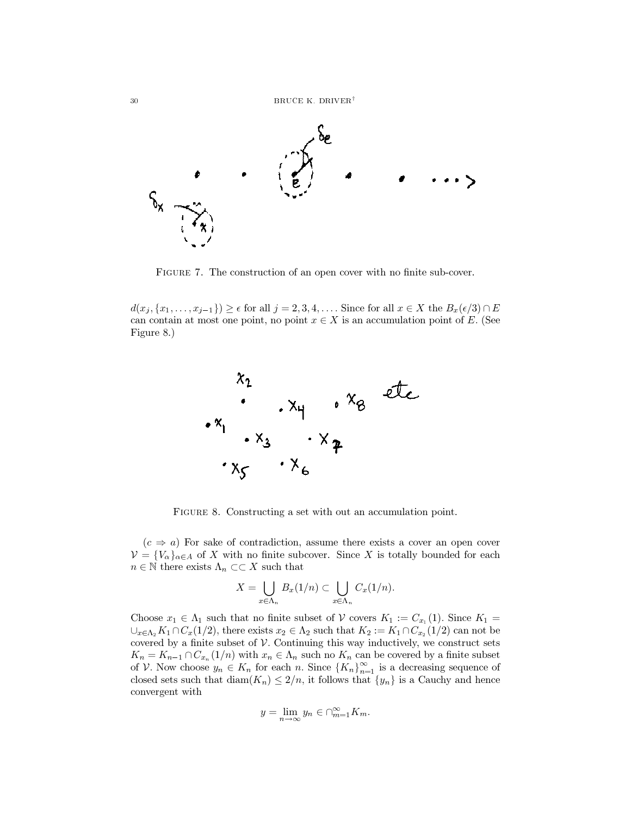

FIGURE 7. The construction of an open cover with no finite sub-cover.

 $d(x_j, \{x_1, \ldots, x_{j-1}\}) \geq \epsilon$  for all  $j = 2, 3, 4, \ldots$ . Since for all  $x \in X$  the  $B_x(\epsilon/3) \cap E$ can contain at most one point, no point  $x \in X$  is an accumulation point of E. (See Figure 8.)



FIGURE 8. Constructing a set with out an accumulation point.

 $(c \Rightarrow a)$  For sake of contradiction, assume there exists a cover an open cover  $\mathcal{V} = \{V_{\alpha}\}_{{\alpha \in A}}$  of X with no finite subcover. Since X is totally bounded for each  $n \in \mathbb{N}$  there exists  $\Lambda_n \subset \subset X$  such that

$$
X=\bigcup_{x\in\Lambda_n}B_x(1/n)\subset\bigcup_{x\in\Lambda_n}C_x(1/n)
$$

Choose  $x_1 \in \Lambda_1$  such that no finite subset of V covers  $K_1 := C_{x_1}(1)$ . Since  $K_1 =$  $\bigcup_{x \in \Lambda_2} K_1 \cap C_x(1/2)$ , there exists  $x_2 \in \Lambda_2$  such that  $K_2 := K_1 \cap C_{x_2}(1/2)$  can not be covered by a finite subset of  $V$ . Continuing this way inductively, we construct sets  $K_n = K_{n-1} \cap C_{x_n}(1/n)$  with  $x_n \in \Lambda_n$  such no  $K_n$  can be covered by a finite subset of  $V$ . Now choose  $y_n \in K_n$  for each n. Since  $\{K_n\}_{n=1}^{\infty}$  is a decreasing sequence of closed sets such that  $\text{diam}(K_n) \leq 2/n$ , it follows that  $\{y_n\}$  is a Cauchy and hence convergent with

$$
y = \lim_{n \to \infty} y_n \in \bigcap_{m=1}^{\infty} K_m.
$$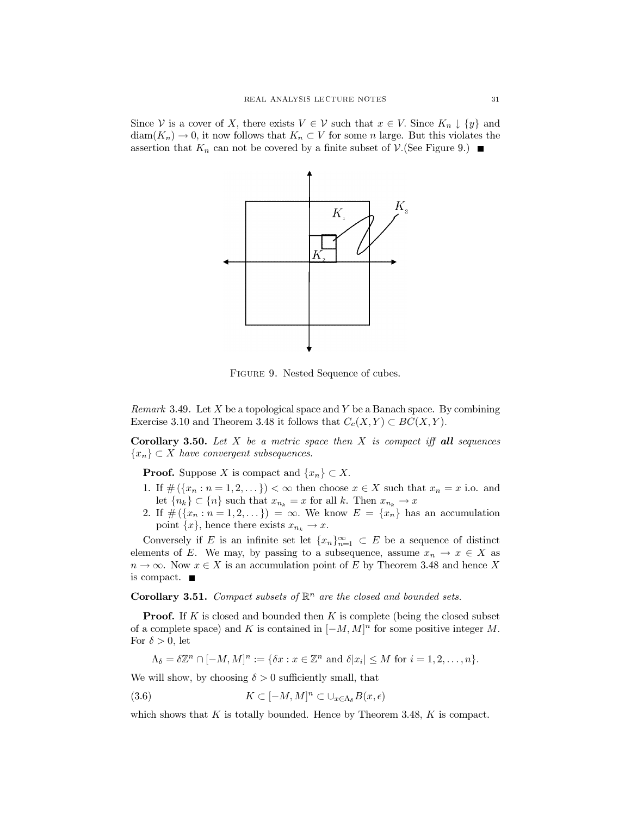Since V is a cover of X, there exists  $V \in V$  such that  $x \in V$ . Since  $K_n \downarrow \{y\}$  and  $diam(K_n) \to 0$ , it now follows that  $K_n \subset V$  for some *n* large. But this violates the assertion that  $K_n$  can not be covered by a finite subset of  $\mathcal{V}$ . (See Figure 9.)



FIGURE 9. Nested Sequence of cubes.

*Remark* 3.49. Let X be a topological space and Y be a Banach space. By combining Exercise 3.10 and Theorem 3.48 it follows that  $C_c(X, Y) \subset BC(X, Y)$ .

**Corollary 3.50.** Let  $X$  be a metric space then  $X$  is compact iff all sequences  $\{x_n\} \subset X$  have convergent subsequences.

**Proof.** Suppose X is compact and  $\{x_n\} \subset X$ .

- 1. If  $\#(\lbrace x_n : n=1,2,\ldots \rbrace) < \infty$  then choose  $x \in X$  such that  $x_n = x$  i.o. and let  ${n_k} \subset {n}$  such that  $x_{n_k} = x$  for all k. Then  $x_{n_k} \to x$
- 2. If  $\#(\{x_n : n = 1, 2, ...\}) = \infty$ . We know  $E = \{x_n\}$  has an accumulation point  $\{x\}$ , hence there exists  $x_{n_k} \to x$ .

Conversely if E is an infinite set let  $\{x_n\}_{n=1}^{\infty} \subset E$  be a sequence of distinct elements of E. We may, by passing to a subsequence, assume  $x_n \to x \in X$  as  $n \to \infty$ . Now  $x \in X$  is an accumulation point of E by Theorem 3.48 and hence X is compact.  $\blacksquare$ 

**Corollary 3.51.** Compact subsets of  $\mathbb{R}^n$  are the closed and bounded sets.

**Proof.** If K is closed and bounded then K is complete (being the closed subset of a complete space) and K is contained in  $[-M, M]^n$  for some positive integer M. For  $\delta > 0$ , let

 $\Lambda_{\delta} = \delta \mathbb{Z}^n \cap [-M, M]^n := \{ \delta x : x \in \mathbb{Z}^n \text{ and } \delta |x_i| \leq M \text{ for } i = 1, 2, \ldots, n \}.$ 

We will show, by choosing  $\delta > 0$  sufficiently small, that

$$
(3.6) \t K \subset [-M, M]^n \subset \cup_{x \in \Lambda_\delta} B(x, \epsilon)
$$

which shows that  $K$  is totally bounded. Hence by Theorem 3.48,  $K$  is compact.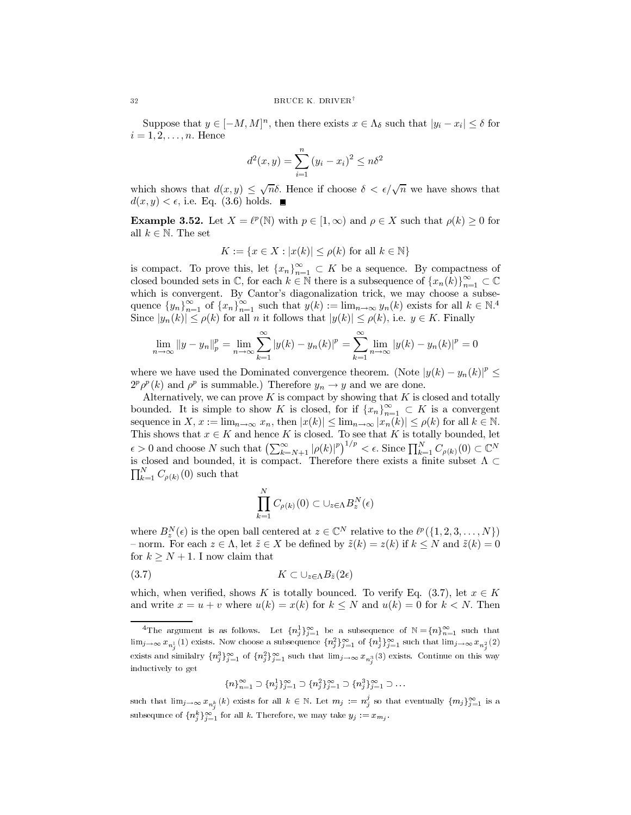Suppose that  $y \in [-M, M]^n$ , then there exists  $x \in \Lambda_{\delta}$  such that  $|y_i - x_i| \leq \delta$  for  $i=1,2,\ldots,n.$  Hence

$$
d^{2}(x, y) = \sum_{i=1}^{n} (y_{i} - x_{i})^{2} \le n\delta^{2}
$$

which shows that  $d(x, y) \leq \sqrt{n}\delta$ . Hence if choose  $\delta < \epsilon/\sqrt{n}$  we have shows that  $d(x, y) < \epsilon$ , i.e. Eq. (3.6) holds.

**Example 3.52.** Let  $X = \ell^p(\mathbb{N})$  with  $p \in [1, \infty)$  and  $\rho \in X$  such that  $\rho(k) \geq 0$  for all  $k \in \mathbb{N}$ . The set

$$
K := \{ x \in X : |x(k)| \le \rho(k) \text{ for all } k \in \mathbb{N} \}
$$

is compact. To prove this, let  $\{x_n\}_{n=1}^{\infty} \subset K$  be a sequence. By compactness of closed bounded sets in  $\mathbb{C}$ , for each  $k \in \mathbb{N}$  there is a subsequence of  $\{x_n(k)\}_{n=1}^{\infty} \subset \mathbb{C}$ which is convergent. By Cantor's diagonalization trick, we may choose a subsequence  $\{y_n\}_{n=1}^{\infty}$  of  $\{x_n\}_{n=1}^{\infty}$  such that  $y(k) := \lim_{n \to \infty} y_n(k)$  exists for all  $k \in \mathbb{N}^4$ . Since  $|y_n(k)| \le \rho(k)$  for all *n* it follows that  $|y(k)| \le \rho(k)$ , i.e.  $y \in K$ . Finally

$$
\lim_{n \to \infty} ||y - y_n||_p^p = \lim_{n \to \infty} \sum_{k=1}^{\infty} |y(k) - y_n(k)|^p = \sum_{k=1}^{\infty} \lim_{n \to \infty} |y(k) - y_n(k)|^p = 0
$$

where we have used the Dominated convergence theorem. (Note  $|y(k) - y_n(k)|^p \le$  $2^p \rho^p(k)$  and  $\rho^p$  is summable.) Therefore  $y_n \to y$  and we are done.

Alternatively, we can prove  $K$  is compact by showing that  $K$  is closed and totally bounded. It is simple to show K is closed, for if  $\{x_n\}_{n=1}^{\infty} \subset K$  is a convergent sequence in X,  $x := \lim_{n \to \infty} x_n$ , then  $|x(k)| \leq \lim_{n \to \infty} |x_n(k)| \leq \rho(k)$  for all  $k \in \mathbb{N}$ .<br>This shows that  $x \in K$  and hence K is closed. To see that K is totally bounded, let  $\epsilon > 0$  and choose N such that  $\left(\sum_{k=N+1}^{\infty} |\rho(k)|^p\right)^{1/p} < \epsilon$ . Since  $\prod_{k=1}^N C_{\rho(k)}(0) \subset \mathbb{C}^N$  is closed and bounded, it is compact. Therefore there exists a finite subset  $\Lambda \subset$  $\prod_{k=1}^N C_{\rho(k)}(0)$  such that

$$
\prod_{k=1}^N C_{\rho(k)}(0) \subset \cup_{z \in \Lambda} B_z^N(\epsilon)
$$

where  $B_{\gamma}^{N}(\epsilon)$  is the open ball centered at  $z \in \mathbb{C}^{N}$  relative to the  $\ell^{p}(\{1,2,3,\ldots,N\})$ - norm. For each  $z \in \Lambda$ , let  $\tilde{z} \in X$  be defined by  $\tilde{z}(k) = z(k)$  if  $k \leq N$  and  $\tilde{z}(k) = 0$ for  $k \geq N + 1$ . I now claim that

$$
(3.7) \t\t K \subset \cup_{z \in \Lambda} B_{\tilde{z}}(2\epsilon)
$$

which, when verified, shows K is totally bounced. To verify Eq.  $(3.7)$ , let  $x \in K$ and write  $x = u + v$  where  $u(k) = x(k)$  for  $k \leq N$  and  $u(k) = 0$  for  $k < N$ . Then

$$
{n \}^{\infty}_{n=1} \supset {n^1_j}_{j=1}^{\infty} \supset {n^2_j}_{j=1}^{\infty} \supset {n^3_j}_{j=1}^{\infty} \supset ...
$$

such that  $\lim_{j\to\infty} x_{n_k}^k(k)$  exists for all  $k \in \mathbb{N}$ . Let  $m_j := n_j^j$  so that eventually  $\{m_j\}_{j=1}^{\infty}$  is a subsequece of  $\{n_j^k\}_{j=1}^{\infty}$  for all k. Therefore, we may take  $y_j := x_{m_j}$ .

32

<sup>&</sup>lt;sup>4</sup>The argument is as follows. Let  $\{n_j^1\}_{j=1}^{\infty}$  be a subsequence of  $\mathbb{N} = \{n\}_{n=1}^{\infty}$  such that  $\lim_{j\to\infty}x_{n_{\tilde{i}}}(1)$  exists. Now choose a subsequence  $\{n_j^2\}_{j=1}^{\infty}$  of  $\{n_j^1\}_{j=1}^{\infty}$  such that  $\lim_{j\to\infty}x_{n_j^2}(2)$ exists and similalry  ${n_j^3}_{j=1}^{\infty}$  of  ${n_j^2}_{j=1}^{\infty}$  such that  $\lim_{j\to\infty} x_{n_j^3}(3)$  exists. Continue on this way inductively to get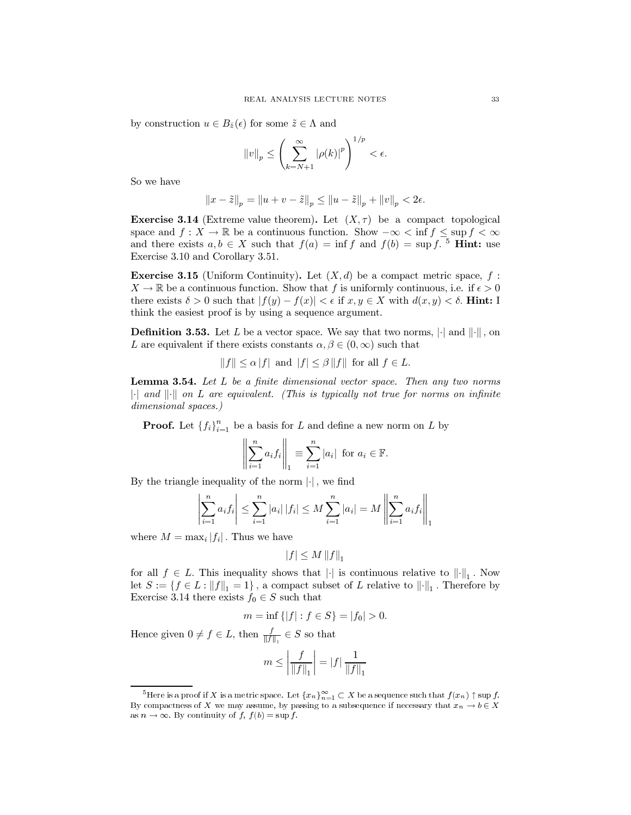by construction  $u \in B_{\tilde{z}}(\epsilon)$  for some  $\tilde{z} \in \Lambda$  and

$$
||v||_p \le \left(\sum_{k=N+1}^{\infty} |\rho(k)|^p\right)^{1/p} < \epsilon.
$$

So we have

$$
||x - \tilde{z}||_p = ||u + v - \tilde{z}||_p \le ||u - \tilde{z}||_p + ||v||_p < 2\epsilon.
$$

**Exercise 3.14** (Extreme value theorem). Let  $(X, \tau)$  be a compact topological space and  $f: X \to \mathbb{R}$  be a continuous function. Show  $-\infty < \inf f \leq \sup f < \infty$ and there exists  $a, b \in X$  such that  $f(a) = \inf f$  and  $f(b) = \sup f^{-5}$ . **Hint:** use Exercise 3.10 and Corollary 3.51.

**Exercise 3.15** (Uniform Continuity). Let  $(X,d)$  be a compact metric space, f:  $X \to \mathbb{R}$  be a continuous function. Show that f is uniformly continuous, i.e. if  $\epsilon > 0$ there exists  $\delta > 0$  such that  $|f(y) - f(x)| < \epsilon$  if  $x, y \in X$  with  $d(x, y) < \delta$ . **Hint:** I think the easiest proof is by using a sequence argument.

**Definition 3.53.** Let L be a vector space. We say that two norms,  $|\cdot|$  and  $\|\cdot\|$ , on L are equivalent if there exists constants  $\alpha, \beta \in (0, \infty)$  such that

$$
||f|| \leq \alpha |f|
$$
 and  $|f| \leq \beta ||f||$  for all  $f \in L$ .

**Lemma 3.54.** Let L be a finite dimensional vector space. Then any two norms  $\|\cdot\|$  and  $\|\cdot\|$  on L are equivalent. (This is typically not true for norms on infinite dimensional spaces.)

**Proof.** Let  $\{f_i\}_{i=1}^n$  be a basis for L and define a new norm on L by

$$
\left\| \sum_{i=1}^n a_i f_i \right\|_1 \equiv \sum_{i=1}^n |a_i| \text{ for } a_i \in \mathbb{F}.
$$

By the triangle inequality of the norm  $|\cdot|$ , we find

$$
\left|\sum_{i=1}^{n} a_i f_i\right| \leq \sum_{i=1}^{n} |a_i| |f_i| \leq M \sum_{i=1}^{n} |a_i| = M \left\|\sum_{i=1}^{n} a_i f_i\right\|_1
$$

where  $M = \max_i |f_i|$ . Thus we have

$$
|f|\leq M\,\|f\|_1
$$

for all  $f \in L$ . This inequality shows that  $\lVert \cdot \rVert$  is continuous relative to  $\lVert \cdot \rVert_1$ . Now let  $S:=\{f\in L: \|f\|_1=1\}$  , a compact subset of  $L$  relative to  $\|\cdot\|_1$  . Therefore by Exercise 3.14 there exists  $f_0 \in S$  such that

$$
m = \inf \{|f| : f \in S\} = |f_0| > 0.
$$

Hence given  $0 \neq f \in L$ , then  $\frac{f}{\|f\|_1} \in S$  so that

$$
m \le \left| \frac{f}{\|f\|_1} \right| = |f| \frac{1}{\|f\|_1}
$$

<sup>&</sup>lt;sup>5</sup>Here is a proof if X is a metric space. Let  $\{x_n\}_{n=1}^{\infty} \subset X$  be a sequence such that  $f(x_n) \uparrow \sup f$ . By compactness of X we may assume, by passing to a subsequence if necessary that  $x_n \to b \in X$ as  $n \to \infty$ . By continuity of f,  $f(b) = \sup f$ .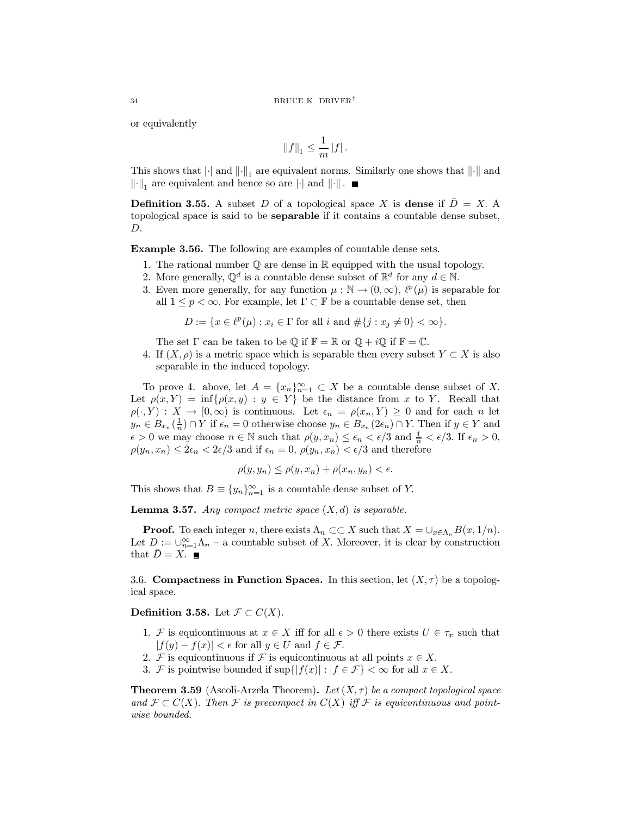or equivalently

$$
\left\|f\right\|_1 \leq \frac{1}{m} \left|f\right|.
$$

This shows that  $\|\cdot\|_1$  and  $\|\cdot\|_1$  are equivalent norms. Similarly one shows that  $\|\cdot\|$  and  $\|\cdot\|_1$  are equivalent and hence so are  $|\cdot|$  and  $\|\cdot\|$ .

**Definition 3.55.** A subset D of a topological space X is dense if  $\overline{D} = X$ . A topological space is said to be **separable** if it contains a countable dense subset.  $D$ .

**Example 3.56.** The following are examples of countable dense sets.

- 1. The rational number  $\mathbb Q$  are dense in  $\mathbb R$  equipped with the usual topology.
- 2. More generally,  $\mathbb{Q}^d$  is a countable dense subset of  $\mathbb{R}^d$  for any  $d \in \mathbb{N}$ .
- 3. Even more generally, for any function  $\mu : \mathbb{N} \to (0, \infty)$ ,  $\ell^p(\mu)$  is separable for all  $1 \leq p < \infty$ . For example, let  $\Gamma \subset \mathbb{F}$  be a countable dense set, then

$$
D := \{ x \in \ell^p(\mu) : x_i \in \Gamma \text{ for all } i \text{ and } \#\{j : x_j \neq 0\} < \infty \}.
$$

The set  $\Gamma$  can be taken to be  $\mathbb Q$  if  $\mathbb F = \mathbb R$  or  $\mathbb Q + i\mathbb Q$  if  $\mathbb F = \mathbb C$ .

4. If  $(X, \rho)$  is a metric space which is separable then every subset  $Y \subset X$  is also separable in the induced topology.

To prove 4. above, let  $A = \{x_n\}_{n=1}^{\infty} \subset X$  be a countable dense subset of X.<br>Let  $\rho(x, Y) = \inf{\rho(x, y) : y \in Y}$  be the distance from x to Y. Recall that  $\rho(\cdot, Y): X \to [0, \infty)$  is continuous. Let  $\epsilon_n = \rho(x_n, Y) \geq 0$  and for each n let  $y_n \in B_{x_n}(\frac{1}{n}) \cap Y$  if  $\epsilon_n = 0$  otherwise choose  $y_n \in B_{x_n}(2\epsilon_n) \cap Y$ . Then if  $y \in Y$  and  $\epsilon > 0$  we may choose  $n \in \mathbb{N}$  such that  $\rho(y, x_n) \leq \epsilon_n < \epsilon/3$  and  $\frac{1}{n} < \epsilon/3$ . If  $\epsilon_n > 0$ ,  $\rho(y_n, x_n) \leq 2\epsilon_n < 2\epsilon/3$  and if  $\epsilon_n = 0$ ,  $\rho(y_n, x_n) < \epsilon/3$  and therefore

$$
\rho(y, y_n) \le \rho(y, x_n) + \rho(x_n, y_n) < \epsilon.
$$

This shows that  $B \equiv \{y_n\}_{n=1}^{\infty}$  is a countable dense subset of Y.

**Lemma 3.57.** Any compact metric space  $(X,d)$  is separable.

**Proof.** To each integer n, there exists  $\Lambda_n \subset\subset X$  such that  $X = \bigcup_{x \in \Lambda_n} B(x, 1/n)$ . Let  $D := \bigcup_{n=1}^{\infty} \Lambda_n$  – a countable subset of X. Moreover, it is clear by construction that  $\overline{D} = X$ .

3.6. Compactness in Function Spaces. In this section, let  $(X, \tau)$  be a topological space.

**Definition 3.58.** Let  $\mathcal{F} \subset C(X)$ .

- 1. F is equicontinuous at  $x \in X$  iff for all  $\epsilon > 0$  there exists  $U \in \tau_x$  such that  $|f(y) - f(x)| < \epsilon$  for all  $y \in U$  and  $f \in \mathcal{F}$ .
- 2. F is equicontinuous if F is equicontinuous at all points  $x \in X$ .
- 3. F is pointwise bounded if  $\sup\{|f(x)| : |f \in \mathcal{F}\}\langle \infty$  for all  $x \in X$ .

**Theorem 3.59** (Ascoli-Arzela Theorem). Let  $(X, \tau)$  be a compact topological space and  $\mathcal{F} \subset C(X)$ . Then F is precompact in  $C(X)$  iff F is equicontinuous and pointwise bounded.

34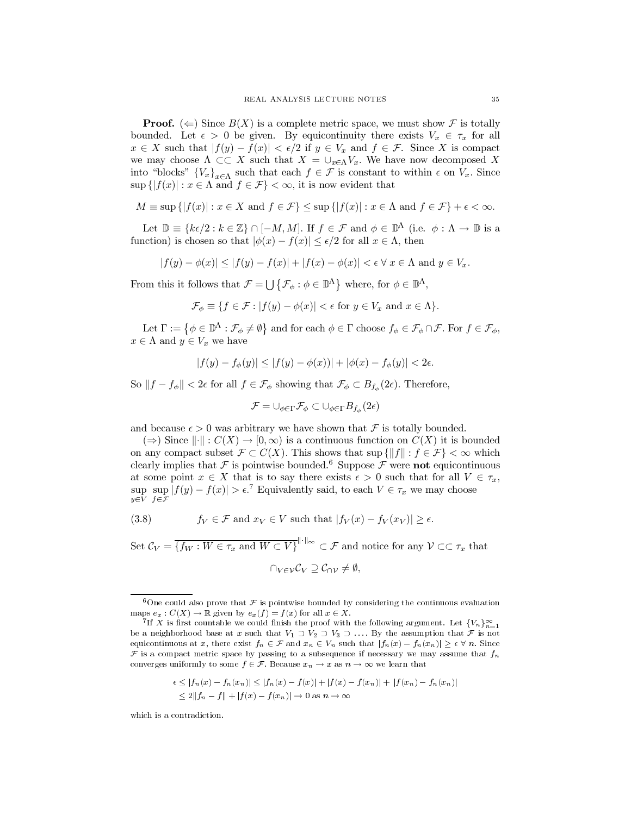**Proof.** ( $\Leftarrow$ ) Since  $B(X)$  is a complete metric space, we must show F is totally bounded. Let  $\epsilon > 0$  be given. By equicontinuity there exists  $V_x \in \tau_x$  for all  $x \in X$  such that  $|f(y) - f(x)| < \epsilon/2$  if  $y \in V_x$  and  $f \in \mathcal{F}$ . Since X is compact we may choose  $\Lambda \subset\subset X$  such that  $X = \bigcup_{x \in \Lambda} V_x$ . We have now decomposed X into "blocks"  $\{V_x\}_{x\in\Lambda}$  such that each  $f\in\mathcal{F}$  is constant to within  $\epsilon$  on  $V_x$ . Since  $\sup\{|f(x)| : x \in \Lambda \text{ and } f \in \mathcal{F}\}\langle \infty, \text{ it is now evident that }$ 

$$
M \equiv \sup\{|f(x)| : x \in X \text{ and } f \in \mathcal{F}\} \le \sup\{|f(x)| : x \in \Lambda \text{ and } f \in \mathcal{F}\} + \epsilon < \infty.
$$

Let  $\mathbb{D} \equiv \{k\epsilon/2 : k \in \mathbb{Z}\}\cap [-M, M]$ . If  $f \in \mathcal{F}$  and  $\phi \in \mathbb{D}^{\Lambda}$  (i.e.  $\phi : \Lambda \to \mathbb{D}$  is a function) is chosen so that  $|\phi(x) - f(x)| \leq \epsilon/2$  for all  $x \in \Lambda$ , then

$$
|f(y) - \phi(x)| \le |f(y) - f(x)| + |f(x) - \phi(x)| < \epsilon \,\forall \, x \in \Lambda \text{ and } y \in V_x.
$$

From this it follows that  $\mathcal{F} = \bigcup \{ \mathcal{F}_{\phi} : \phi \in \mathbb{D}^{\Lambda} \}$  where, for  $\phi \in \mathbb{D}^{\Lambda}$ ,

$$
\mathcal{F}_{\phi} \equiv \{ f \in \mathcal{F} : |f(y) - \phi(x)| < \epsilon \text{ for } y \in V_x \text{ and } x \in \Lambda \}.
$$

Let  $\Gamma := \{ \phi \in \mathbb{D}^{\Lambda} : \mathcal{F}_{\phi} \neq \emptyset \}$  and for each  $\phi \in \Gamma$  choose  $f_{\phi} \in \mathcal{F}_{\phi} \cap \mathcal{F}$ . For  $f \in \mathcal{F}_{\phi}$ ,  $x \in \Lambda$  and  $y \in V_x$  we have

$$
|f(y) - f_{\phi}(y)| \le |f(y) - \phi(x))| + |\phi(x) - f_{\phi}(y)| < 2\epsilon.
$$

So  $||f - f_{\phi}|| < 2\epsilon$  for all  $f \in \mathcal{F}_{\phi}$  showing that  $\mathcal{F}_{\phi} \subset B_{f_{\phi}}(2\epsilon)$ . Therefore,

$$
\mathcal{F} = \cup_{\phi \in \Gamma} \mathcal{F}_{\phi} \subset \cup_{\phi \in \Gamma} B_{f_{\phi}}(2\epsilon)
$$

and because  $\epsilon > 0$  was arbitrary we have shown that F is totally bounded.

 $(\Rightarrow)$  Since  $\|\cdot\|: C(X) \to [0,\infty)$  is a continuous function on  $C(X)$  it is bounded on any compact subset  $\mathcal{F} \subset C(X)$ . This shows that  $\sup \{||f|| : f \in \mathcal{F}\} < \infty$  which clearly implies that  $\mathcal F$  is pointwise bounded.<sup>6</sup> Suppose  $\mathcal F$  were **not** equicontinuous at some point  $x \in X$  that is to say there exists  $\epsilon > 0$  such that for all  $V \in \tau_x$ , sup sup  $|f(y) - f(x)| > \epsilon$ . Equivalently said, to each  $V \in \tau_x$  we may choose

(3.8) 
$$
f_V \in \mathcal{F} \text{ and } x_V \in V \text{ such that } |f_V(x) - f_V(x_V)| \ge \epsilon.
$$

Set  $\mathcal{C}_V = \overline{\{f_W : W \in \tau_x \text{ and } W \subset V\}}^{\|\cdot\|_{\infty}} \subset \mathcal{F}$  and notice for any  $\mathcal{V} \subset \subset \tau_x$  that  $\cap_{V\in\mathcal{V}}\mathcal{C}_V\supseteq\mathcal{C}_{\cap\mathcal{V}}\neq\emptyset,$ 

$$
\epsilon \le |f_n(x) - f_n(x_n)| \le |f_n(x) - f(x)| + |f(x) - f(x_n)| + |f(x_n) - f_n(x_n)|
$$
  
\n
$$
\le 2||f_n - f|| + |f(x) - f(x_n)| \to 0 \text{ as } n \to \infty
$$

which is a contradiction.

<sup>&</sup>lt;sup>6</sup>One could also prove that F is pointwise bounded by considering the continuous evaluation maps  $e_x : C(X) \to \mathbb{R}$  given by  $e_x(f) = f(x)$  for all  $x \in X$ .

<sup>&</sup>lt;sup>7</sup>If X is first countable we could finish the proof with the following argument. Let  $\{V_n\}_{n=1}^{\infty}$ be a neighborhood base at x such that  $V_1 \supset V_2 \supset V_3 \supset \ldots$  By the assumption that  $\mathcal F$  is not equicontinuous at x, there exist  $f_n \in \mathcal{F}$  and  $x_n \in V_n$  such that  $|f_n(x) - f_n(x_n)| \geq \epsilon \ \forall \ n$ . Since F is a compact metric space by passing to a subsequence if necessary we may assume that  $f_n$ converges uniformly to some  $f \in \mathcal{F}$ . Because  $x_n \to x$  as  $n \to \infty$  we learn that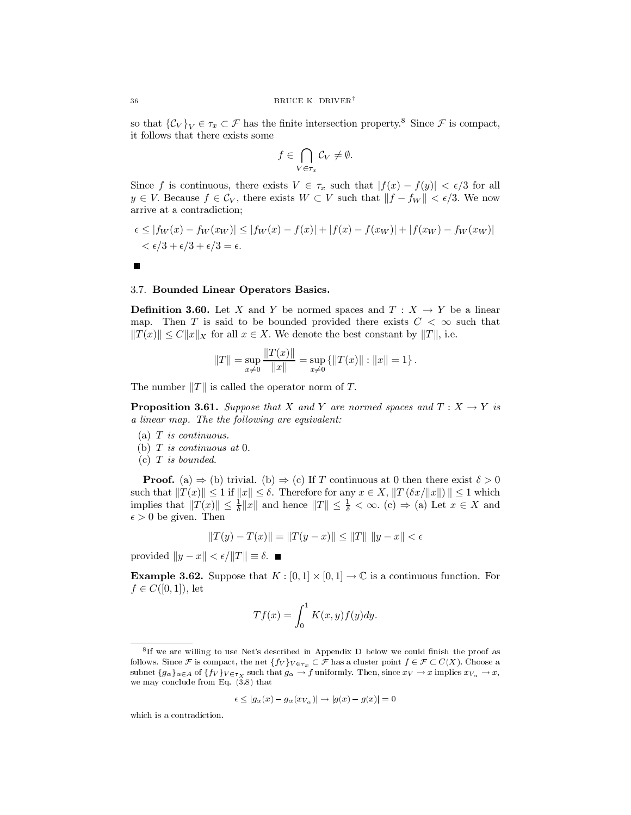so that  $\{\mathcal{C}_V\}_V \in \tau_x \subset \mathcal{F}$  has the finite intersection property.<sup>8</sup> Since  $\mathcal F$  is compact, it follows that there exists some

$$
f \in \bigcap_{V \in \tau_x} \mathcal{C}_V \neq \emptyset.
$$

Since f is continuous, there exists  $V \in \tau_x$  such that  $|f(x) - f(y)| < \epsilon/3$  for all  $y \in V$ . Because  $f \in \mathcal{C}_V$ , there exists  $W \subset V$  such that  $||f - f_W|| < \epsilon/3$ . We now arrive at a contradiction;

$$
\epsilon \le |f_W(x) - f_W(x_W)| \le |f_W(x) - f(x)| + |f(x) - f(x_W)| + |f(x_W) - f_W(x_W)|
$$
  

$$
< \epsilon/3 + \epsilon/3 + \epsilon/3 = \epsilon.
$$

**Definition 3.60.** Let X and Y be normed spaces and  $T: X \to Y$  be a linear map. Then T is said to be bounded provided there exists  $C < \infty$  such that  $||T(x)|| \leq C ||x||_X$  for all  $x \in X$ . We denote the best constant by  $||T||$ , i.e.

$$
||T|| = \sup_{x \neq 0} \frac{||T(x)||}{||x||} = \sup_{x \neq 0} \{ ||T(x)|| : ||x|| = 1 \}.
$$

The number  $||T||$  is called the operator norm of T.

**Proposition 3.61.** Suppose that X and Y are normed spaces and  $T: X \to Y$  is a linear map. The the following are equivalent:

- (a)  $T$  is continuous.
- (b)  $T$  is continuous at 0.
- $(c)$  T is bounded.

**Proof.** (a)  $\Rightarrow$  (b) trivial. (b)  $\Rightarrow$  (c) If T continuous at 0 then there exist  $\delta > 0$ such that  $||T(x)|| \leq 1$  if  $||x|| \leq \delta$ . Therefore for any  $x \in X$ ,  $||T(\delta x/||x||)|| \leq 1$  which implies that  $||T(x)|| \leq \frac{1}{\delta} ||x||$  and hence  $||T|| \leq \frac{1}{\delta} < \infty$ . (c)  $\Rightarrow$  (a) Let  $x \in X$  and  $\epsilon > 0$  be given. Then

$$
||T(y) - T(x)|| = ||T(y - x)|| \le ||T|| \, ||y - x|| < \epsilon
$$

provided  $||y-x|| < \epsilon/||T|| \equiv \delta$ .

**Example 3.62.** Suppose that  $K : [0,1] \times [0,1] \to \mathbb{C}$  is a continuous function. For  $f \in C([0,1])$ , let

$$
Tf(x) = \int_0^1 K(x, y) f(y) dy.
$$

$$
\epsilon \le |g_{\alpha}(x) - g_{\alpha}(x_{V_{\alpha}})| \to |g(x) - g(x)| = 0
$$

which is a contradiction.

 $\blacksquare$ 

<sup>&</sup>lt;sup>8</sup>If we are willing to use Net's described in Appendix D below we could finish the proof as follows. Since F is compact, the net  $\{f_V\}_{V \in \tau_x} \subset \mathcal{F}$  has a cluster point  $f \in \mathcal{F} \subset C(X)$ . Choose a subnet  $\{g_\alpha\}_{\alpha \in A}$  of  $\{f_V\}_{V \in \tau_X}$  such that  $g_\alpha \to f$  uniformly. Then, since  $x_V \to x$  implies  $x_{V_\alpha} \to x$ , we may conclude from Eq. (3.8) that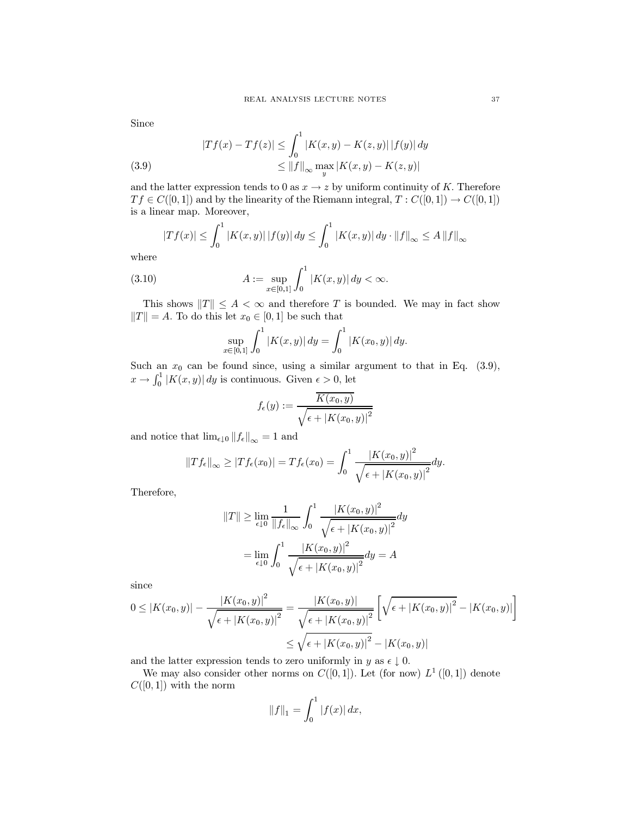Since

(3.9) 
$$
|Tf(x) - Tf(z)| \le \int_0^1 |K(x, y) - K(z, y)| |f(y)| dy
$$

$$
\le ||f||_{\infty} \max_{y} |K(x, y) - K(z, y)|
$$

and the latter expression tends to 0 as  $x \to z$  by uniform continuity of K. Therefore  $Tf \in C([0,1])$  and by the linearity of the Riemann integral,  $T: C([0,1]) \to C([0,1])$ is a linear map. Moreover,

$$
|Tf(x)| \le \int_0^1 |K(x,y)| |f(y)| dy \le \int_0^1 |K(x,y)| dy \cdot ||f||_{\infty} \le A ||f||_{\infty}
$$

where

(3.10) 
$$
A := \sup_{x \in [0,1]} \int_0^1 |K(x,y)| dy < \infty.
$$

This shows  $||T|| \leq A < \infty$  and therefore T is bounded. We may in fact show  $||T|| = A$ . To do this let  $x_0 \in [0,1]$  be such that

$$
\sup_{x \in [0,1]} \int_0^1 |K(x,y)| \, dy = \int_0^1 |K(x_0, y)| \, dy.
$$

Such an  $x_0$  can be found since, using a similar argument to that in Eq. (3.9),  $x \to \int_0^1 |K(x, y)| dy$  is continuous. Given  $\epsilon > 0$ , let

$$
f_{\epsilon}(y) := \frac{\overline{K(x_0, y)}}{\sqrt{\epsilon + |K(x_0, y)|^2}}
$$

and notice that  $\lim_{\epsilon\downarrow 0}||f_\epsilon||_\infty=1$  and

$$
||Tf_{\epsilon}||_{\infty} \geq |Tf_{\epsilon}(x_0)| = Tf_{\epsilon}(x_0) = \int_0^1 \frac{|K(x_0, y)|^2}{\sqrt{\epsilon + |K(x_0, y)|^2}} dy.
$$

Therefore,

$$
||T|| \ge \lim_{\epsilon \downarrow 0} \frac{1}{||f_{\epsilon}||_{\infty}} \int_{0}^{1} \frac{|K(x_0, y)|^2}{\sqrt{\epsilon + |K(x_0, y)|^2}} dy
$$

$$
= \lim_{\epsilon \downarrow 0} \int_{0}^{1} \frac{|K(x_0, y)|^2}{\sqrt{\epsilon + |K(x_0, y)|^2}} dy = A
$$

since

$$
0 \leq |K(x_0, y)| - \frac{|K(x_0, y)|^2}{\sqrt{\epsilon + |K(x_0, y)|^2}} = \frac{|K(x_0, y)|}{\sqrt{\epsilon + |K(x_0, y)|^2}} \left[ \sqrt{\epsilon + |K(x_0, y)|^2} - |K(x_0, y)| \right]
$$
  

$$
\leq \sqrt{\epsilon + |K(x_0, y)|^2} - |K(x_0, y)|
$$

and the latter expression tends to zero uniformly in  $y$  as  $\epsilon \downarrow 0$ .

We may also consider other norms on  $C([0,1])$ . Let (for now)  $L^1([0,1])$  denote  $C([0,1])$  with the norm

$$
||f||_1 = \int_0^1 |f(x)| \, dx,
$$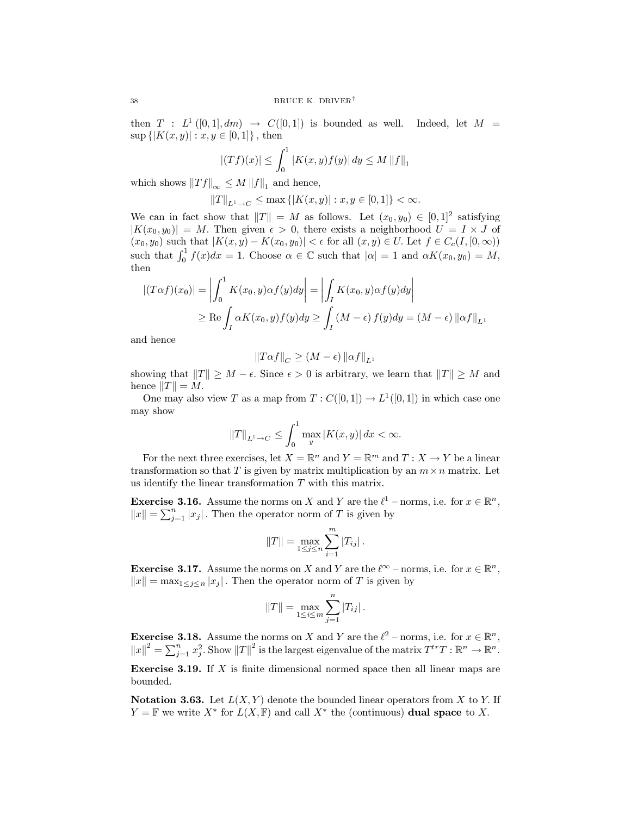then  $T: L^1([0,1], dm) \to C([0,1])$  is bounded as well. Indeed, let  $M =$  $\sup\{|K(x,y)| : x, y \in [0,1]\},\$ hen

$$
|(Tf)(x)| \le \int_0^1 |K(x,y)f(y)| \, dy \le M \|f\|_1
$$

which shows  $||Tf||_{\infty} \leq M ||f||_1$  and hence,

$$
||T||_{L^1 \to C} \le \max\{|K(x,y)| : x, y \in [0,1]\} < \infty.
$$

We can in fact show that  $||T|| = M$  as follows. Let  $(x_0, y_0) \in [0,1]^2$  satisfying  $|K(x_0, y_0)| = M$ . Then given  $\epsilon > 0$ , there exists a neighborhood  $U = I \times J$  of  $(x_0, y_0)$  such that  $|K(x, y) - K(x_0, y_0)| < \epsilon$  for all  $(x, y) \in U$ . Let  $f \in C_c(I, [0, \infty))$ such that  $\int_0^1 f(x)dx = 1$ . Choose  $\alpha \in \mathbb{C}$  such that  $|\alpha| = 1$  and  $\alpha K(x_0, y_0) = M$ , then

$$
|(T\alpha f)(x_0)| = \left| \int_0^1 K(x_0, y)\alpha f(y)dy \right| = \left| \int_I K(x_0, y)\alpha f(y)dy \right|
$$
  
\n
$$
\geq \text{Re}\int_I \alpha K(x_0, y)f(y)dy \geq \int_I (M - \epsilon) f(y)dy = (M - \epsilon) ||\alpha f||_{L^1}
$$

and hence

$$
\left\|T\alpha f\right\|_C \geq (M-\epsilon)\left\|\alpha f\right\|_{L^1}
$$

showing that  $||T|| \geq M - \epsilon$ . Since  $\epsilon > 0$  is arbitrary, we learn that  $||T|| \geq M$  and hence  $||T|| = M$ .

One may also view T as a map from  $T: C([0,1]) \to L^1([0,1])$  in which case one may show

$$
||T||_{L^1 \to C} \le \int_0^1 \max_y |K(x,y)| dx < \infty.
$$

For the next three exercises, let  $X = \mathbb{R}^n$  and  $Y = \mathbb{R}^m$  and  $T : X \to Y$  be a linear transformation so that T is given by matrix multiplication by an  $m \times n$  matrix. Let us identify the linear transformation  $T$  with this matrix.

**Exercise 3.16.** Assume the norms on X and Y are the  $\ell^1$  – norms, i.e. for  $x \in \mathbb{R}^n$ ,  $||x|| = \sum_{i=1}^{n} |x_i|$ . Then the operator norm of T is given by

$$
||T|| = \max_{1 \le j \le n} \sum_{i=1}^{m} |T_{ij}|.
$$

**Exercise 3.17.** Assume the norms on X and Y are the  $\ell^{\infty}$  – norms, i.e. for  $x \in \mathbb{R}^n$ ,  $||x|| = \max_{1 \leq j \leq n} |x_j|$ . Then the operator norm of T is given by

$$
||T|| = \max_{1 \leq i \leq m} \sum_{j=1}^{n} |T_{ij}|.
$$

**Exercise 3.18.** Assume the norms on X and Y are the  $\ell^2$  – norms, i.e. for  $x \in \mathbb{R}^n$ ,  $||x||^2 = \sum_{i=1}^n x_i^2$ . Show  $||T||^2$  is the largest eigenvalue of the matrix  $T^{tr}T : \mathbb{R}^n \to \mathbb{R}^n$ .

**Exercise 3.19.** If  $X$  is finite dimensional normed space then all linear maps are bounded.

**Notation 3.63.** Let  $L(X, Y)$  denote the bounded linear operators from X to Y. If  $Y = \mathbb{F}$  we write  $X^*$  for  $L(X, \mathbb{F})$  and call  $X^*$  the (continuous) **dual space** to X.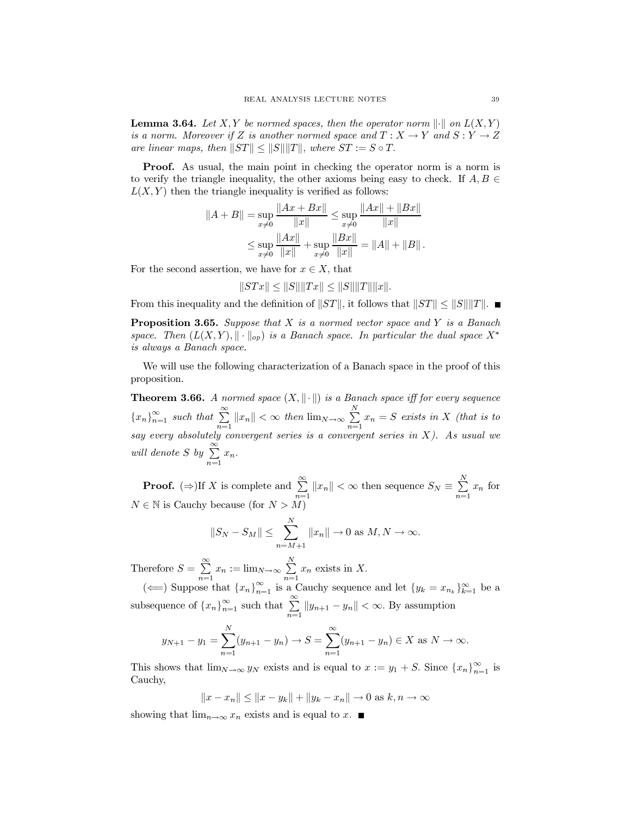**Lemma 3.64.** Let X, Y be normed spaces, then the operator norm  $\|\cdot\|$  on  $L(X, Y)$ is a norm. Moreover if Z is another normed space and  $T: X \to Y$  and  $S: Y \to Z$ are linear maps, then  $||ST|| \le ||S|| ||T||$ , where  $ST := S \circ T$ .

**Proof.** As usual, the main point in checking the operator norm is a norm is to verify the triangle inequality, the other axioms being easy to check. If  $A, B \in$  $L(X, Y)$  then the triangle inequality is verified as follows:

$$
||A + B|| = \sup_{x \neq 0} \frac{||Ax + Bx||}{||x||} \le \sup_{x \neq 0} \frac{||Ax|| + ||Bx||}{||x||}
$$
  

$$
\le \sup_{x \neq 0} \frac{||Ax||}{||x||} + \sup_{x \neq 0} \frac{||Bx||}{||x||} = ||A|| + ||B||.
$$

For the second assertion, we have for  $x \in X$ , that

$$
||STx|| \le ||S|| ||Tx|| \le ||S|| ||T|| ||x||.
$$

From this inequality and the definition of  $||ST||$ , it follows that  $||ST|| \le ||S|| ||T||$ .

**Proposition 3.65.** Suppose that  $X$  is a normed vector space and  $Y$  is a Banach space. Then  $(L(X, Y), \|\cdot\|_{op})$  is a Banach space. In particular the dual space  $X^*$ is always a Banach space.

We will use the following characterization of a Banach space in the proof of this proposition.

**Theorem 3.66.** A normed space  $(X, \|\cdot\|)$  is a Banach space iff for every sequence  ${x_n}_{n=1}^{\infty}$  such that  $\sum_{n=1}^{\infty} ||x_n|| < \infty$  then  $\lim_{N \to \infty} \sum_{n=1}^{N} x_n = S$  exists in X (that is to say every absolutely convergent series is a convergent series in X). As usual we will denote S by  $\sum_{n=1}^{\infty} x_n$ .

**Proof.** ( $\Rightarrow$ )If X is complete and  $\sum_{n=1}^{\infty} ||x_n|| < \infty$  then sequence  $S_N \equiv \sum_{n=1}^N x_n$  for  $N \in \mathbb{N}$  is Cauchy because (for  $N > M$ )

$$
||S_N - S_M|| \le \sum_{n=M+1}^N ||x_n|| \to 0 \text{ as } M, N \to \infty.
$$

Therefore  $S = \sum_{n=1}^{\infty} x_n := \lim_{N \to \infty} \sum_{n=1}^{N} x_n$  exists in X.<br>( $\Longleftarrow$ ) Suppose that  $\{x_n\}_{n=1}^{\infty}$  is a Cauchy sequence and let  $\{y_k = x_{n_k}\}_{k=1}^{\infty}$  be a

subsequence of  $\{x_n\}_{n=1}^{\infty}$  such that  $\sum_{n=1}^{\infty} ||y_{n+1} - y_n|| < \infty$ . By assumption

$$
y_{N+1} - y_1 = \sum_{n=1}^{N} (y_{n+1} - y_n) \to S = \sum_{n=1}^{\infty} (y_{n+1} - y_n) \in X
$$
 as  $N \to \infty$ .

This shows that  $\lim_{N\to\infty} y_N$  exists and is equal to  $x := y_1 + S$ . Since  $\{x_n\}_{n=1}^{\infty}$  is Cauchy,

$$
||x - x_n|| \le ||x - y_k|| + ||y_k - x_n|| \to 0 \text{ as } k, n \to \infty
$$

showing that  $\lim_{n\to\infty} x_n$  exists and is equal to x.  $\blacksquare$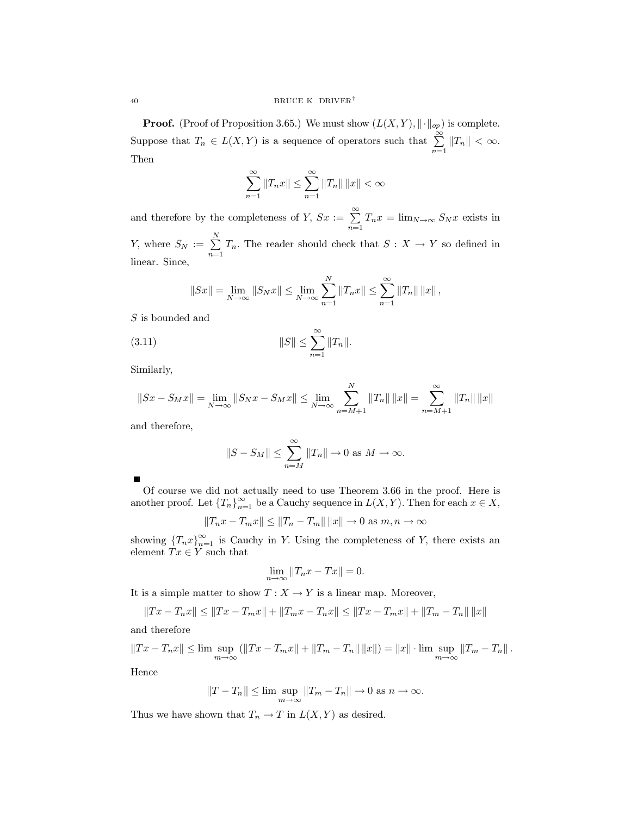**Proof.** (Proof of Proposition 3.65.) We must show  $(L(X, Y), \|\cdot\|_{op})$  is complete. Suppose that  $T_n \in L(X,Y)$  is a sequence of operators such that  $\sum_{n=1}^{\infty} ||T_n|| < \infty$ . Then

$$
\sum_{n=1}^{\infty} ||T_n x|| \le \sum_{n=1}^{\infty} ||T_n|| \, ||x|| < \infty
$$

and therefore by the completeness of Y,  $S_x := \sum_{n=1}^{\infty} T_n x = \lim_{N \to \infty} S_N x$  exists in Y, where  $S_N := \sum_{n=1}^N T_n$ . The reader should check that  $S : X \to Y$  so defined in linear. Since,

$$
||Sx|| = \lim_{N \to \infty} ||S_N x|| \le \lim_{N \to \infty} \sum_{n=1}^{N} ||T_n x|| \le \sum_{n=1}^{\infty} ||T_n|| ||x||,
$$

 $S$  is bounded and

(3.11) 
$$
||S|| \leq \sum_{n=1}^{\infty} ||T_n||.
$$

Similarly,

$$
||Sx - S_Mx|| = \lim_{N \to \infty} ||S_Nx - S_Mx|| \le \lim_{N \to \infty} \sum_{n=M+1}^N ||T_n|| \, ||x|| = \sum_{n=M+1}^{\infty} ||T_n|| \, ||x||
$$

and therefore,

$$
||S - S_M|| \le \sum_{n=M}^{\infty} ||T_n|| \to 0 \text{ as } M \to \infty.
$$

Of course we did not actually need to use Theorem 3.66 in the proof. Here is another proof. Let  $\{T_n\}_{n=1}^{\infty}$  be a Cauchy sequence in  $L(X, Y)$ . Then for each  $x \in X$ ,

$$
|T_nx - T_mx\| \leq ||T_n - T_m|| \, ||x|| \to 0 \text{ as } m, n \to \infty
$$

showing  ${T_nx}_{n=1}^{\infty}$  is Cauchy in Y. Using the completeness of Y, there exists an element  $Tx \in Y$  such that

$$
\lim_{n \to \infty} ||T_n x - Tx|| = 0.
$$

It is a simple matter to show  $T: X \to Y$  is a linear map. Moreover,

$$
||Tx - T_nx|| \le ||Tx - T_mx|| + ||T_mx - T_nx|| \le ||Tx - T_mx|| + ||T_m - T_n|| ||x||
$$

and therefore

$$
||Tx - T_nx|| \le \limsup_{m \to \infty} (||Tx - T_mx|| + ||T_m - T_n|| ||x||) = ||x|| \cdot \limsup_{m \to \infty} ||T_m - T_n||
$$

Hence

$$
||T - T_n|| \le \limsup_{m \to \infty} ||T_m - T_n|| \to 0 \text{ as } n \to \infty.
$$

Thus we have shown that  $T_n \to T$  in  $L(X, Y)$  as desired.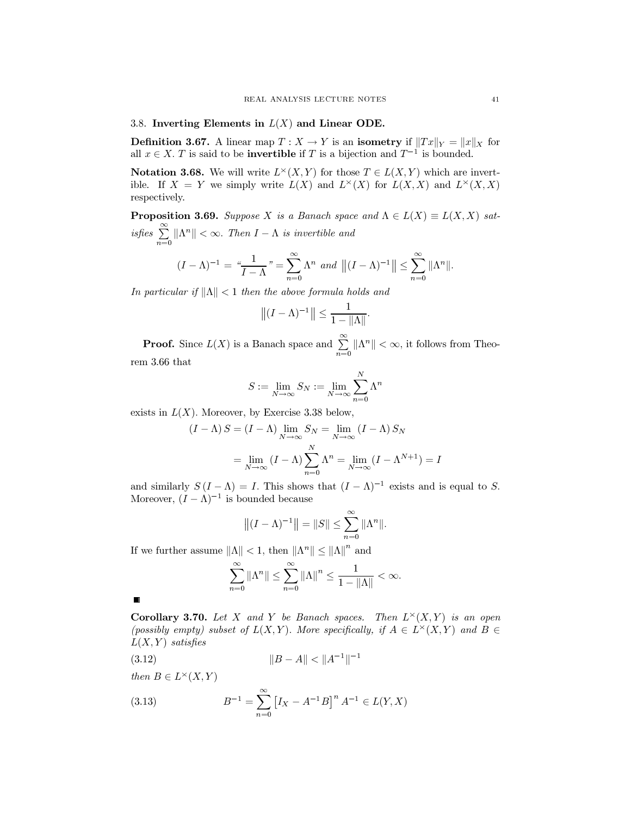3.8. Inverting Elements in  $L(X)$  and Linear ODE.

**Definition 3.67.** A linear map  $T: X \to Y$  is an **isometry** if  $||Tx||_Y = ||x||_X$  for all  $x \in X$ . T is said to be **invertible** if T is a bijection and  $T^{-1}$  is bounded.

**Notation 3.68.** We will write  $L^{\times}(X, Y)$  for those  $T \in L(X, Y)$  which are invertible. If  $X = Y$  we simply write  $L(X)$  and  $L^{\times}(X)$  for  $L(X, X)$  and  $L^{\times}(X, X)$ respectively.

**Proposition 3.69.** Suppose X is a Banach space and  $\Lambda \in L(X) \equiv L(X,X)$  satisfies  $\sum_{n=0}^{\infty} ||\Lambda^n|| < \infty$ . Then  $I - \Lambda$  is invertible and

$$
(I - \Lambda)^{-1} = \frac{1}{I - \Lambda} \, m = \sum_{n=0}^{\infty} \Lambda^n \, \text{ and } \, \left\| (I - \Lambda)^{-1} \right\| \le \sum_{n=0}^{\infty} \|\Lambda^n\|.
$$

In particular if  $\|\Lambda\| < 1$  then the above formula holds and

$$
\left\| (I - \Lambda)^{-1} \right\| \le \frac{1}{1 - \|\Lambda\|}
$$

**Proof.** Since  $L(X)$  is a Banach space and  $\sum_{n=0}^{\infty} ||\Lambda^n|| < \infty$ , it follows from Theo $rem 3.66 that$ 

$$
S := \lim_{N \to \infty} S_N := \lim_{N \to \infty} \sum_{n=0}^N \Lambda^n
$$

exists in  $L(X)$ . Moreover, by Exercise 3.38 below,

$$
(I - \Lambda) S = (I - \Lambda) \lim_{N \to \infty} S_N = \lim_{N \to \infty} (I - \Lambda) S_N
$$

$$
= \lim_{N \to \infty} (I - \Lambda) \sum_{n=0}^{N} \Lambda^n = \lim_{N \to \infty} (I - \Lambda^{N+1}) = I
$$

and similarly  $S(I - \Lambda) = I$ . This shows that  $(I - \Lambda)^{-1}$  exists and is equal to S. Moreover,  $(I - \Lambda)^{-1}$  is bounded because

$$
||(I - \Lambda)^{-1}|| = ||S|| \le \sum_{n=0}^{\infty} ||\Lambda^n||.
$$

If we further assume  $\|\Lambda\| < 1$ , then  $\|\Lambda^n\| \le \|\Lambda\|^n$  and

$$
\sum_{n=0}^{\infty} \|\Lambda^n\| \le \sum_{n=0}^{\infty} \|\Lambda\|^n \le \frac{1}{1 - \|\Lambda\|} < \infty.
$$

 $\blacksquare$ 

**Corollary 3.70.** Let X and Y be Banach spaces. Then  $L^{\times}(X, Y)$  is an open (possibly empty) subset of  $L(X, Y)$ . More specifically, if  $A \in L^{\times}(X, Y)$  and  $B \in$  $L(X, Y)$  satisfies

$$
(3.12)\t\t\t\t||B - A|| < ||A^{-1}||^{-1}
$$

then  $B \in L^{\times}(X, Y)$ 

(3.13) 
$$
B^{-1} = \sum_{n=0}^{\infty} \left[ I_X - A^{-1} B \right]^n A^{-1} \in L(Y, X)
$$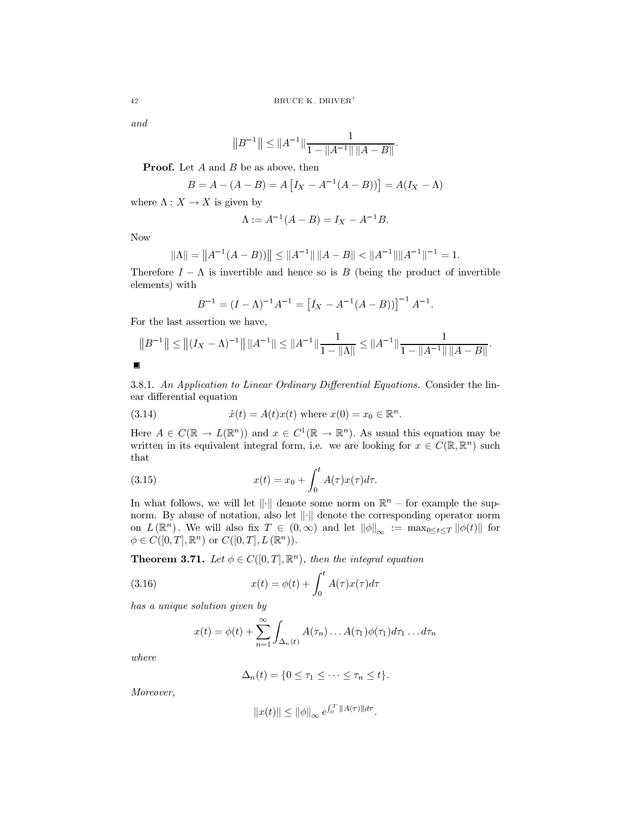and

$$
||B^{-1}|| \le ||A^{-1}|| \frac{1}{1 - ||A^{-1}|| ||A - B||}.
$$

**Proof.** Let  $A$  and  $B$  be as above, then

$$
B = A - (A - B) = A [I_X - A^{-1}(A - B)] = A(I_X - \Lambda)
$$

where  $\Lambda: X \to X$  is given by

$$
\Lambda := A^{-1}(A - B) = I_X - A^{-1}B.
$$

Now

$$
||\Lambda|| = ||A^{-1}(A - B))|| \le ||A^{-1}|| ||A - B|| < ||A^{-1}|| ||A^{-1}||^{-1} = 1
$$

Therefore  $I - \Lambda$  is invertible and hence so is B (being the product of invertible elements) with

$$
B^{-1} = (I - \Lambda)^{-1} A^{-1} = [I_X - A^{-1}(A - B))]^{-1} A^{-1}.
$$

For the last assertion we have,

$$
||B^{-1}|| \le ||(I_X - \Lambda)^{-1}|| ||A^{-1}|| \le ||A^{-1}|| \frac{1}{1 - ||\Lambda||} \le ||A^{-1}|| \frac{1}{1 - ||A^{-1}|| ||A - B||}.
$$

3.8.1. An Application to Linear Ordinary Differential Equations. Consider the linear differential equation

(3.14) 
$$
\dot{x}(t) = A(t)x(t) \text{ where } x(0) = x_0 \in \mathbb{R}^n
$$

Here  $A \in C(\mathbb{R} \to L(\mathbb{R}^n))$  and  $x \in C^1(\mathbb{R} \to \mathbb{R}^n)$ . As usual this equation may be written in its equivalent integral form, i.e. we are looking for  $x \in C(\mathbb{R}, \mathbb{R}^n)$  such that

(3.15) 
$$
x(t) = x_0 + \int_0^t A(\tau) x(\tau) d\tau.
$$

In what follows, we will let  $\|\cdot\|$  denote some norm on  $\mathbb{R}^n$  – for example the supnorm. By abuse of notation, also let  $\left\|\cdot\right\|$  denote the corresponding operator norm on  $L(\mathbb{R}^n)$ . We will also fix  $T \in (0,\infty)$  and let  $\|\phi\|_{\infty} := \max_{0 \leq t \leq T} \|\phi(t)\|$  for  $\phi \in C([0,T],\mathbb{R}^n)$  or  $C([0,T],L(\mathbb{R}^n))$ .

**Theorem 3.71.** Let  $\phi \in C([0,T], \mathbb{R}^n)$ , then the integral equation

(3.16) 
$$
x(t) = \phi(t) + \int_0^t A(\tau)x(\tau)d\tau
$$

has a unique solution given by

$$
x(t) = \phi(t) + \sum_{n=1}^{\infty} \int_{\Delta_n(t)} A(\tau_n) \dots A(\tau_1) \phi(\tau_1) d\tau_1 \dots d\tau_n
$$

 $where$ 

$$
\Delta_n(t) = \{0 \leq \tau_1 \leq \cdots \leq \tau_n \leq t\}.
$$

Moreover,

$$
||x(t)|| \le ||\phi||_{\infty} e^{\int_0^T ||A(\tau)||d\tau}.
$$

42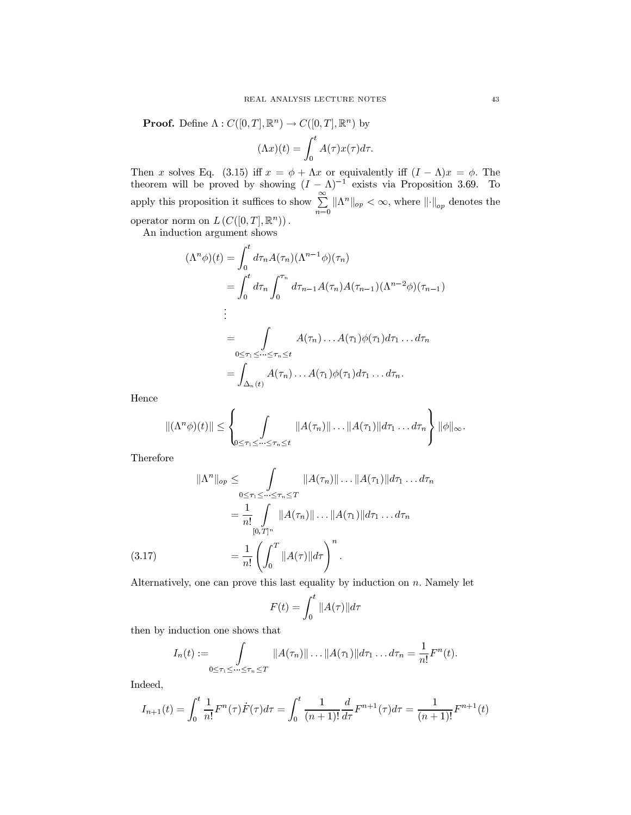**Proof.** Define  $\Lambda: C([0,T], \mathbb{R}^n) \to C([0,T], \mathbb{R}^n)$  by

$$
(\Lambda x)(t) = \int_0^t A(\tau)x(\tau)d\tau.
$$

Then x solves Eq. (3.15) iff  $x = \phi + \Lambda x$  or equivalently iff  $(I - \Lambda)x = \phi$ . The theorem will be proved by showing  $(I - \Lambda)^{-1}$  exists via Proposition 3.69. To apply this proposition it suffices to show  $\sum_{n=0}^{\infty} ||\Lambda^n||_{op} < \infty$ , where  $||\cdot||_{op}$  denotes the operator norm on  $L(C([0,T],\mathbb{R}^n))$ .

An induction argument shows

$$
(\Lambda^n \phi)(t) = \int_0^t d\tau_n A(\tau_n) (\Lambda^{n-1} \phi)(\tau_n)
$$
  
\n
$$
= \int_0^t d\tau_n \int_0^{\tau_n} d\tau_{n-1} A(\tau_n) A(\tau_{n-1}) (\Lambda^{n-2} \phi)(\tau_{n-1})
$$
  
\n:  
\n:  
\n
$$
= \int_{0 \le \tau_1 \le \cdots \le \tau_n \le t} A(\tau_n) \dots A(\tau_1) \phi(\tau_1) d\tau_1 \dots d\tau_n
$$
  
\n
$$
= \int_{\Delta_n(t)} A(\tau_n) \dots A(\tau_1) \phi(\tau_1) d\tau_1 \dots d\tau_n.
$$

Hence

$$
\|(\Lambda^n\phi)(t)\| \leq \left\{\int_{0 \leq \tau_1 \leq \cdots \leq \tau_n \leq t} \|A(\tau_n)\| \ldots \|A(\tau_1)\| d\tau_1 \ldots d\tau_n\right\} \|\phi\|_{\infty}.
$$

Therefore

$$
\|\Lambda^n\|_{op} \leq \int_{0 \leq \tau_1 \leq \dots \leq \tau_n \leq T} \|A(\tau_n)\| \dots \|A(\tau_1)\| d\tau_1 \dots d\tau_n
$$
  

$$
= \frac{1}{n!} \int_{[0,T]^n} \|A(\tau_n)\| \dots \|A(\tau_1)\| d\tau_1 \dots d\tau_n
$$
  
(3.17)  

$$
= \frac{1}{n!} \left(\int_0^T \|A(\tau)\| d\tau\right)^n.
$$

Alternatively, one can prove this last equality by induction on  $n$ . Namely let

$$
F(t) = \int_0^t \|A(\tau)\| d\tau
$$

then by induction one shows that

$$
I_n(t) := \int\limits_{0 \leq \tau_1 \leq \cdots \leq \tau_n \leq T} ||A(\tau_n)|| \ldots ||A(\tau_1)|| d\tau_1 \ldots d\tau_n = \frac{1}{n!} F^n(t).
$$

Indeed,

$$
I_{n+1}(t) = \int_0^t \frac{1}{n!} F^n(\tau) \dot{F}(\tau) d\tau = \int_0^t \frac{1}{(n+1)!} \frac{d}{d\tau} F^{n+1}(\tau) d\tau = \frac{1}{(n+1)!} F^{n+1}(t)
$$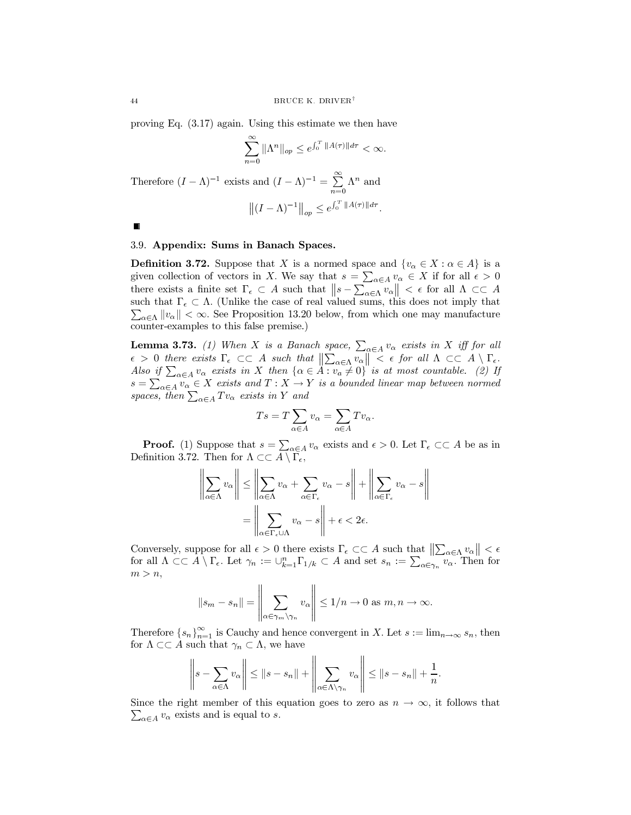proving Eq.  $(3.17)$  again. Using this estimate we then have

$$
\sum_{n=0}^{\infty} \|\Lambda^n\|_{op} \le e^{\int_0^T \|A(\tau)\|d\tau} < \infty.
$$

Therefore  $(I - \Lambda)^{-1}$  exists and  $(I - \Lambda)^{-1} = \sum_{n=0}^{\infty} \Lambda^n$  and  $||(I - \Lambda)^{-1}||_{op} \leq e^{\int_0^T ||A(\tau)|| d\tau}.$ 

 $\blacksquare$ 

# 3.9. Appendix: Sums in Banach Spaces.

**Definition 3.72.** Suppose that X is a normed space and  $\{v_{\alpha} \in X : \alpha \in A\}$  is a given collection of vectors in X. We say that  $s = \sum_{\alpha \in A} v_{\alpha} \in X$  if for all  $\epsilon > 0$ there exists a finite set  $\Gamma_{\epsilon} \subset A$  such that  $||s - \sum_{\alpha \in \Lambda} v_{\alpha}|| < \epsilon$  for all  $\Lambda \subset \subset A$ such that  $\Gamma_{\epsilon} \subset \Lambda$ . (Unlike the case of real valued sums, this does not imply that  $\sum_{\alpha\in\Lambda}||v_{\alpha}||<\infty$ . See Proposition 13.20 below, from which one may manufacture counter-examples to this false premise.)

**Lemma 3.73.** (1) When X is a Banach space,  $\sum_{\alpha \in A} v_{\alpha}$  exists in X iff for all  $\epsilon > 0$  there exists  $\Gamma_{\epsilon} \subset \subset A$  such that  $\|\sum_{\alpha \in A} v_{\alpha}\| < \epsilon$  for all  $\Lambda \subset \subset A \setminus \Gamma_{\epsilon}$ .<br>Also if  $\sum_{\alpha \in A} v_{\alpha}$  exists in X then  $s = \sum_{\alpha \in A} \overline{v_{\alpha}} \in X$  exists and  $T : X \to Y$  is a bounded linear map between normed spaces, then  $\sum_{\alpha \in A} T v_{\alpha}$  exists in Y and

$$
Ts = T \sum_{\alpha \in A} v_{\alpha} = \sum_{\alpha \in A} Tv_{\alpha}.
$$

**Proof.** (1) Suppose that  $s = \sum_{\alpha \in A} v_{\alpha}$  exists and  $\epsilon > 0$ . Let  $\Gamma_{\epsilon} \subset \subset A$  be as in Definition 3.72. Then for  $\Lambda \subset \subset A \setminus \Gamma_{\epsilon}$ ,

$$
\left\| \sum_{\alpha \in \Lambda} v_{\alpha} \right\| \le \left\| \sum_{\alpha \in \Lambda} v_{\alpha} + \sum_{\alpha \in \Gamma_{\epsilon}} v_{\alpha} - s \right\| + \left\| \sum_{\alpha \in \Gamma_{\epsilon}} v_{\alpha} - s \right\|
$$

$$
= \left\| \sum_{\alpha \in \Gamma_{\epsilon} \cup \Lambda} v_{\alpha} - s \right\| + \epsilon < 2\epsilon.
$$

Conversely, suppose for all  $\epsilon > 0$  there exists  $\Gamma_{\epsilon} \subset \subset A$  such that  $\left\| \sum_{\alpha \in \Lambda} v_{\alpha} \right\| < \epsilon$ for all  $\Lambda \subset \subset A \setminus \Gamma_{\epsilon}$ . Let  $\gamma_n := \bigcup_{k=1}^n \Gamma_{1/k} \subset A$  and set  $s_n := \sum_{\alpha \in \gamma_n} v_{\alpha}$ . Then for  $m > n$ .

$$
||s_m - s_n|| = \left\| \sum_{\alpha \in \gamma_m \setminus \gamma_n} v_\alpha \right\| \leq 1/n \to 0 \text{ as } m, n \to \infty.
$$

Therefore  $\{s_n\}_{n=1}^{\infty}$  is Cauchy and hence convergent in X. Let  $s := \lim_{n \to \infty} s_n$ , then for  $\Lambda \subset\subset A$  such that  $\gamma_n \subset \Lambda$ , we have

$$
\left\|s - \sum_{\alpha \in \Lambda} v_{\alpha}\right\| \leq \left\|s - s_{n}\right\| + \left\|\sum_{\alpha \in \Lambda \setminus \gamma_{n}} v_{\alpha}\right\| \leq \left\|s - s_{n}\right\| + \frac{1}{n}
$$

Since the right member of this equation goes to zero as  $n \to \infty$ , it follows that  $\sum_{\alpha \in A} v_{\alpha}$  exists and is equal to s.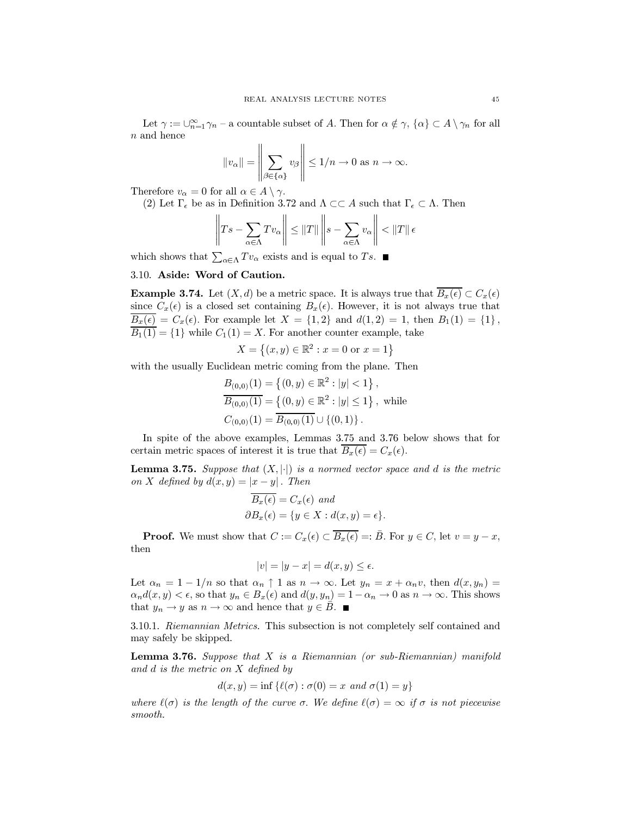Let  $\gamma := \bigcup_{n=1}^{\infty} \gamma_n$  – a countable subset of A. Then for  $\alpha \notin \gamma$ ,  $\{\alpha\} \subset A \setminus \gamma_n$  for all  $n$  and hence

$$
||v_{\alpha}|| = \left\| \sum_{\beta \in {\{\alpha\}}} v_{\beta} \right\| \leq 1/n \to 0 \text{ as } n \to \infty.
$$

Therefore  $v_{\alpha} = 0$  for all  $\alpha \in A \setminus \gamma$ .

(2) Let  $\Gamma_{\epsilon}$  be as in Definition 3.72 and  $\Lambda \subset\subset A$  such that  $\Gamma_{\epsilon} \subset \Lambda$ . Then

$$
\left\|Ts - \sum_{\alpha \in \Lambda} Tv_{\alpha} \right\| \leq ||T|| \left\|s - \sum_{\alpha \in \Lambda} v_{\alpha} \right\| < ||T|| \epsilon
$$

which shows that  $\sum_{\alpha \in \Lambda} T v_{\alpha}$  exists and is equal to Ts.

# 3.10. Aside: Word of Caution.

**Example 3.74.** Let  $(X, d)$  be a metric space. It is always true that  $\overline{B_x(\epsilon)} \subset C_x(\epsilon)$ since  $C_x(\epsilon)$  is a closed set containing  $B_x(\epsilon)$ . However, it is not always true that  $\overline{B_x(\epsilon)} = C_x(\epsilon)$ . For example let  $X = \{1,2\}$  and  $d(1,2) = 1$ , then  $B_1(1) = \{1\}$ ,  $B_1(1) = \{1\}$  while  $C_1(1) = X$ . For another counter example, take

$$
X = \{(x, y) \in \mathbb{R}^2 : x = 0 \text{ or } x = 1\}
$$

with the usually Euclidean metric coming from the plane. Then

$$
B_{(0,0)}(1) = \{(0, y) \in \mathbb{R}^2 : |y| < 1\},
$$
  
\n
$$
B_{(0,0)}(1) = \{(0, y) \in \mathbb{R}^2 : |y| \le 1\},
$$
 while  
\n
$$
C_{(0,0)}(1) = \overline{B_{(0,0)}(1)} \cup \{(0,1)\}.
$$

In spite of the above examples, Lemmas 3.75 and 3.76 below shows that for certain metric spaces of interest it is true that  $\overline{B_x(\epsilon)} = C_x(\epsilon)$ .

**Lemma 3.75.** Suppose that  $(X, \vert \cdot \vert)$  is a normed vector space and d is the metric on X defined by  $d(x, y) = |x - y|$ . Then

$$
\overline{B_x(\epsilon)} = C_x(\epsilon) \text{ and}
$$
  

$$
\partial B_x(\epsilon) = \{y \in X : d(x, y) = \epsilon\}
$$

**Proof.** We must show that  $C := C_x(\epsilon) \subset \overline{B_x(\epsilon)} =: \overline{B}$ . For  $y \in C$ , let  $v = y - x$ , then

$$
|v| = |y - x| = d(x, y) \le \epsilon.
$$

Let  $\alpha_n = 1 - 1/n$  so that  $\alpha_n \uparrow 1$  as  $n \to \infty$ . Let  $y_n = x + \alpha_n v$ , then  $d(x, y_n) =$  $\alpha_n d(x, y) < \epsilon$ , so that  $y_n \in B_x(\epsilon)$  and  $d(y, y_n) = 1 - \alpha_n \to 0$  as  $n \to \infty$ . This shows that  $y_n \to y$  as  $n \to \infty$  and hence that  $y \in B$ .

3.10.1. Riemannian Metrics. This subsection is not completely self contained and may safely be skipped.

**Lemma 3.76.** Suppose that  $X$  is a Riemannian (or sub-Riemannian) manifold and  $d$  is the metric on  $X$  defined by

$$
d(x, y) = \inf \{ \ell(\sigma) : \sigma(0) = x \text{ and } \sigma(1) = y \}
$$

where  $\ell(\sigma)$  is the length of the curve  $\sigma$ . We define  $\ell(\sigma) = \infty$  if  $\sigma$  is not piecewise smooth.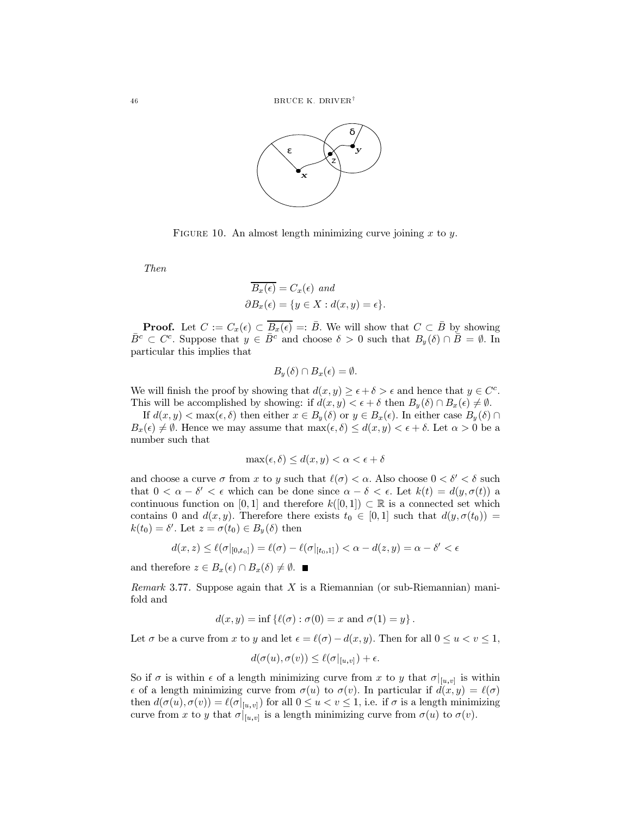

FIGURE 10. An almost length minimizing curve joining  $x$  to  $y$ .

Then

$$
\overline{B_x(\epsilon)} = C_x(\epsilon) \text{ and}
$$
  

$$
\partial B_x(\epsilon) = \{y \in X : d(x, y) = \epsilon\}
$$

**Proof.** Let  $C := C_x(\epsilon) \subset \overline{B_x(\epsilon)} =: \overline{B}$ . We will show that  $C \subset \overline{B}$  by showing  $\overline{B}^c \subset C^c$ . Suppose that  $y \in \overline{B}^c$  and choose  $\delta > 0$  such that  $B_y(\delta) \cap \overline{B} = \emptyset$ . In particular this implies that

$$
B_u(\delta) \cap B_x(\epsilon) = \emptyset.
$$

We will finish the proof by showing that  $d(x, y) \ge \epsilon + \delta > \epsilon$  and hence that  $y \in C^c$ . This will be accomplished by showing: if  $d(x, y) < \epsilon + \delta$  then  $B_u(\delta) \cap B_x(\epsilon) \neq \emptyset$ .

If  $d(x, y) < \max(\epsilon, \delta)$  then either  $x \in B_y(\delta)$  or  $y \in B_x(\epsilon)$ . In either case  $B_y(\delta) \cap$  $B_x(\epsilon) \neq \emptyset$ . Hence we may assume that  $\max(\epsilon, \delta) \leq d(x, y) \leq \epsilon + \delta$ . Let  $\alpha > 0$  be a number such that

$$
\max(\epsilon, \delta) \le d(x, y) < \alpha < \epsilon + \delta
$$

and choose a curve  $\sigma$  from x to y such that  $\ell(\sigma) < \alpha$ . Also choose  $0 < \delta' < \delta$  such that  $0 < \alpha - \delta' < \epsilon$  which can be done since  $\alpha - \delta < \epsilon$ . Let  $k(t) = d(y, \sigma(t))$  a continuous function on [0,1] and therefore  $k([0,1]) \subset \mathbb{R}$  is a connected set which contains 0 and  $d(x, y)$ . Therefore there exists  $t_0 \in [0, 1]$  such that  $d(y, \sigma(t_0)) =$  $k(t_0) = \delta'$ . Let  $z = \sigma(t_0) \in B_u(\delta)$  then

$$
d(x, z) \leq \ell(\sigma|_{[0,t_0]}) = \ell(\sigma) - \ell(\sigma|_{[t_0,1]}) < \alpha - d(z, y) = \alpha - \delta' < \epsilon
$$

and therefore  $z \in B_x(\epsilon) \cap B_x(\delta) \neq \emptyset$ .

*Remark* 3.77. Suppose again that  $X$  is a Riemannian (or sub-Riemannian) manifold and

$$
d(x, y) = \inf \{ \ell(\sigma) : \sigma(0) = x \text{ and } \sigma(1) = y \}.
$$

Let  $\sigma$  be a curve from x to y and let  $\epsilon = \ell(\sigma) - d(x, y)$ . Then for all  $0 \le u < v \le 1$ ,

$$
d(\sigma(u),\sigma(v))\leq \ell(\sigma|_{[u,v]})+\epsilon.
$$

So if  $\sigma$  is within  $\epsilon$  of a length minimizing curve from x to y that  $\sigma|_{[u,v]}$  is within  $\epsilon$  of a length minimizing curve from  $\sigma(u)$  to  $\sigma(v)$ . In particular if  $d(x, y) = \ell(\sigma)$ then  $d(\sigma(u), \sigma(v)) = \ell(\sigma|_{[u,v]})$  for all  $0 \le u < v \le 1$ , i.e. if  $\sigma$  is a length minimizing curve from x to y that  $\sigma|_{[u,v]}$  is a length minimizing curve from  $\sigma(u)$  to  $\sigma(v)$ .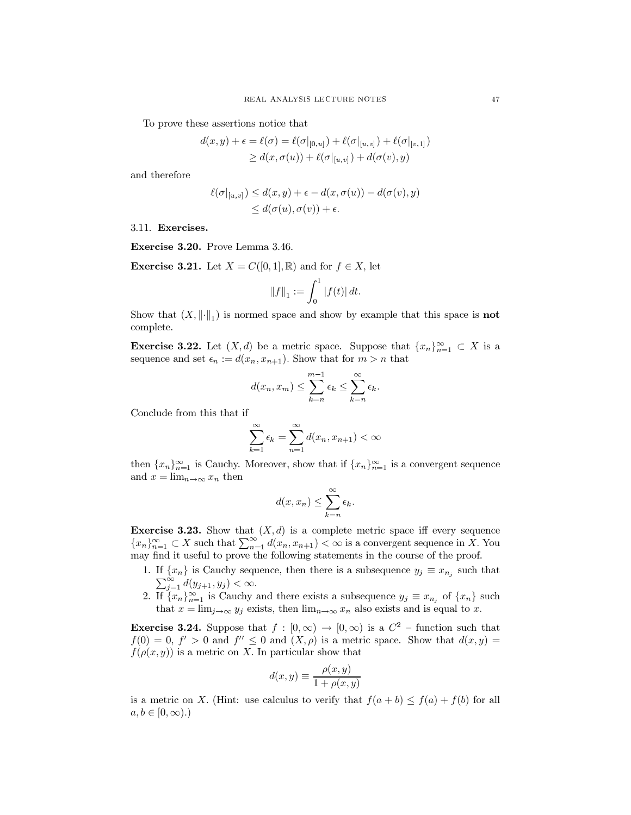To prove these assertions notice that

$$
\begin{aligned} d(x,y) + \epsilon &= \ell(\sigma) = \ell(\sigma|_{[0,u]}) + \ell(\sigma|_{[u,v]}) + \ell(\sigma|_{[v,1]}) \\ &\geq d(x,\sigma(u)) + \ell(\sigma|_{[u,v]}) + d(\sigma(v),y) \end{aligned}
$$

and therefore

$$
\ell(\sigma|_{[u,v]}) \leq d(x,y) + \epsilon - d(x,\sigma(u)) - d(\sigma(v),y)
$$
  

$$
\leq d(\sigma(u),\sigma(v)) + \epsilon.
$$

3.11. Exercises.

Exercise 3.20. Prove Lemma 3.46.

**Exercise 3.21.** Let  $X = C([0,1], \mathbb{R})$  and for  $f \in X$ , let

$$
\left\|f\right\|_1:=\int_0^1 |f(t)|\,dt.
$$

Show that  $(X, \|\cdot\|_1)$  is normed space and show by example that this space is **not** complete.

**Exercise 3.22.** Let  $(X,d)$  be a metric space. Suppose that  $\{x_n\}_{n=1}^{\infty} \subset X$  is a sequence and set  $\epsilon_n := d(x_n, x_{n+1})$ . Show that for  $m > n$  that

$$
d(x_n, x_m) \leq \sum_{k=n}^{m-1} \epsilon_k \leq \sum_{k=n}^{\infty} \epsilon_k.
$$

Conclude from this that if

$$
\sum_{k=1}^{\infty} \epsilon_k = \sum_{n=1}^{\infty} d(x_n, x_{n+1}) < \infty
$$

then  $\{x_n\}_{n=1}^{\infty}$  is Cauchy. Moreover, show that if  $\{x_n\}_{n=1}^{\infty}$  is a convergent sequence and  $x = \lim_{n \to \infty} x_n$  then

$$
d(x, x_n) \leq \sum_{k=n}^{\infty} \epsilon_k.
$$

**Exercise 3.23.** Show that  $(X, d)$  is a complete metric space iff every sequence  $\{x_n\}_{n=1}^{\infty} \subset X$  such that  $\sum_{n=1}^{\infty} d(x_n, x_{n+1}) < \infty$  is a convergent sequence in X. You may find it useful to prove the following statements in the course of the proof.

- 1. If  $\{x_n\}$  is Cauchy sequence, then there is a subsequence  $y_j \equiv x_{n_j}$  such that  $\sum_{j=1}^{\infty} d(y_{j+1}, y_j) < \infty.$
- 2. If  $\{x_n\}_{n=1}^{\infty}$  is Cauchy and there exists a subsequence  $y_j \equiv x_{n_j}$  of  $\{x_n\}$  such that  $x = \lim_{j \to \infty} y_j$  exists, then  $\lim_{n \to \infty} x_n$  also exists and is equal to x.

**Exercise 3.24.** Suppose that  $f : [0, \infty) \to [0, \infty)$  is a  $C^2$  - function such that  $f(0) = 0, f' > 0$  and  $f'' \le 0$  and  $(X, \rho)$  is a metric space. Show that  $d(x, y) =$  $f(\rho(x, y))$  is a metric on X. In particular show that

$$
d(x, y) \equiv \frac{\rho(x, y)}{1 + \rho(x, y)}
$$

is a metric on X. (Hint: use calculus to verify that  $f(a + b) \le f(a) + f(b)$  for all  $a, b \in [0, \infty)$ .)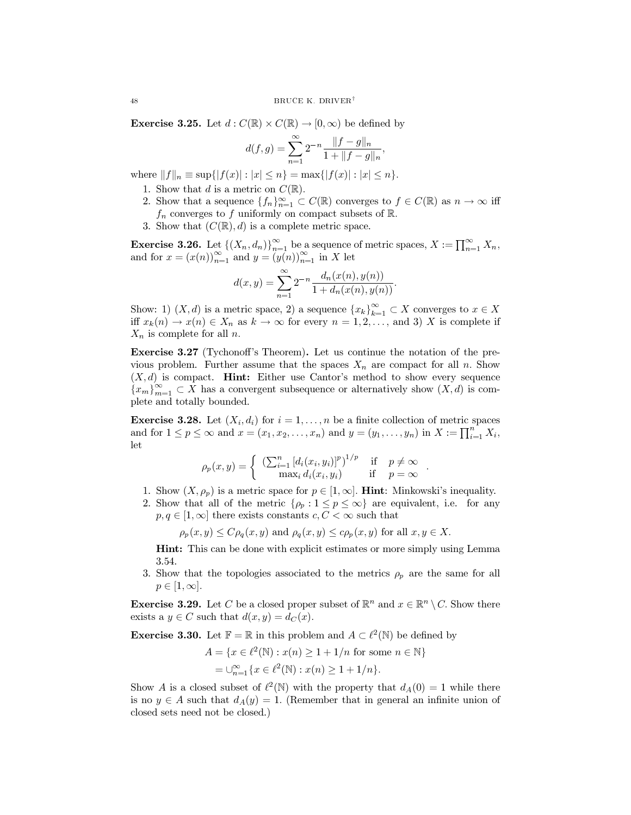**Exercise 3.25.** Let  $d: C(\mathbb{R}) \times C(\mathbb{R}) \to [0, \infty)$  be defined by

$$
d(f,g) = \sum_{n=1}^{\infty} 2^{-n} \frac{\|f-g\|_n}{1 + \|f-g\|_n},
$$

where  $||f||_n \equiv \sup\{|f(x)| : |x| \le n\} = \max\{|f(x)| : |x| \le n\}.$ 

- 1. Show that d is a metric on  $C(\mathbb{R})$ .
- 2. Show that a sequence  $\{f_n\}_{n=1}^{\infty} \subset C(\mathbb{R})$  converges to  $f \in C(\mathbb{R})$  as  $n \to \infty$  iff  $f_n$  converges to f uniformly on compact subsets of  $\mathbb R$ .
- 3. Show that  $(C(\mathbb{R}), d)$  is a complete metric space.

**Exercise 3.26.** Let  $\{(X_n, d_n)\}_{n=1}^{\infty}$  be a sequence of metric spaces,  $X := \prod_{n=1}^{\infty} X_n$ , and for  $x = (x(n))_{n=1}^{\infty}$  and  $y = (y(n))_{n=1}^{\infty}$  in X let

$$
d(x,y) = \sum_{n=1}^{\infty} 2^{-n} \frac{d_n(x(n), y(n))}{1 + d_n(x(n), y(n))}.
$$

Show: 1)  $(X, d)$  is a metric space, 2) a sequence  $\{x_k\}_{k=1}^{\infty} \subset X$  converges to  $x \in X$ iff  $x_k(n) \to x(n) \in X_n$  as  $k \to \infty$  for every  $n = 1, 2, \ldots$ , and 3) X is complete if  $X_n$  is complete for all n.

**Exercise 3.27** (Tychonoff's Theorem). Let us continue the notation of the previous problem. Further assume that the spaces  $X_n$  are compact for all n. Show  $(X, d)$  is compact. **Hint:** Either use Cantor's method to show every sequence  $\{x_m\}_{m=1}^{\infty} \subset X$  has a convergent subsequence or alternatively show  $(X, d)$  is complete and totally bounded.

**Exercise 3.28.** Let  $(X_i, d_i)$  for  $i = 1, ..., n$  be a finite collection of metric spaces and for  $1 \le p \le \infty$  and  $x = (x_1, x_2, ..., x_n)$  and  $y = (y_1, ..., y_n)$  in  $X := \prod_{i=1}^{n} X_i$ , let

$$
\rho_p(x,y) = \begin{cases} \left( \sum_{i=1}^n \left[ d_i(x_i, y_i) \right]^p \right)^{1/p} & \text{if } p \neq \infty \\ \max_i d_i(x_i, y_i) & \text{if } p = \infty \end{cases}.
$$

- 1. Show  $(X, \rho_p)$  is a metric space for  $p \in [1, \infty]$ . **Hint**: Minkowski's inequality.
- 2. Show that all of the metric  $\{\rho_p: 1 \leq p \leq \infty\}$  are equivalent, i.e. for any  $p, q \in [1, \infty]$  there exists constants  $c, C < \infty$  such that

 $\rho_p(x, y) \leq C \rho_q(x, y)$  and  $\rho_q(x, y) \leq c \rho_q(x, y)$  for all  $x, y \in X$ .

Hint: This can be done with explicit estimates or more simply using Lemma 3.54.

3. Show that the topologies associated to the metrics  $\rho_p$  are the same for all  $p \in [1,\infty].$ 

**Exercise 3.29.** Let C be a closed proper subset of  $\mathbb{R}^n$  and  $x \in \mathbb{R}^n \setminus C$ . Show there exists a  $y \in C$  such that  $d(x, y) = d_C(x)$ .

**Exercise 3.30.** Let  $\mathbb{F} = \mathbb{R}$  in this problem and  $A \subset \ell^2(\mathbb{N})$  be defined by

$$
A = \{ x \in \ell^{2}(\mathbb{N}) : x(n) \ge 1 + 1/n \text{ for some } n \in \mathbb{N} \}
$$
  
=  $\bigcup_{n=1}^{\infty} \{ x \in \ell^{2}(\mathbb{N}) : x(n) \ge 1 + 1/n \}.$ 

Show A is a closed subset of  $\ell^2(\mathbb{N})$  with the property that  $d_A(0)=1$  while there is no  $y \in A$  such that  $d_A(y) = 1$ . (Remember that in general an infinite union of closed sets need not be closed.)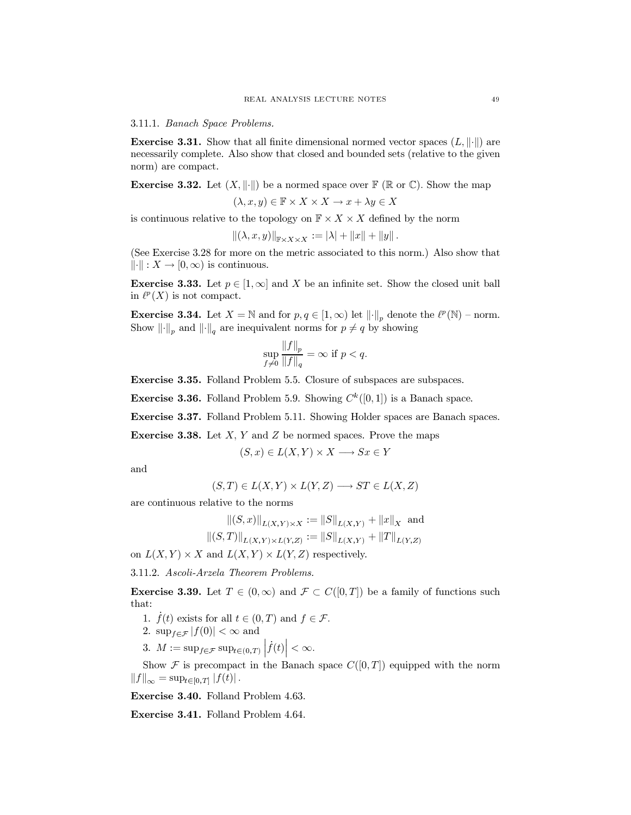# 3.11.1. Banach Space Problems.

**Exercise 3.31.** Show that all finite dimensional normed vector spaces  $(L, \|\cdot\|)$  are necessarily complete. Also show that closed and bounded sets (relative to the given norm) are compact.

**Exercise 3.32.** Let  $(X, \|\cdot\|)$  be a normed space over  $\mathbb{F}(\mathbb{R} \text{ or } \mathbb{C})$ . Show the map

$$
(\lambda, x, y) \in \mathbb{F} \times X \times X \to x + \lambda y \in X
$$

is continuous relative to the topology on  $\mathbb{F} \times X \times X$  defined by the norm

$$
|(\lambda, x, y)|_{\mathbb{F} \times X \times X} := |\lambda| + ||x|| + ||y||.
$$

(See Exercise 3.28 for more on the metric associated to this norm.) Also show that  $\|\cdot\|: X \to [0, \infty)$  is continuous.

**Exercise 3.33.** Let  $p \in [1,\infty]$  and X be an infinite set. Show the closed unit ball in  $\ell^p(X)$  is not compact.

**Exercise 3.34.** Let  $X = \mathbb{N}$  and for  $p, q \in [1, \infty)$  let  $\|\cdot\|_p$  denote the  $\ell^p(\mathbb{N})$  – norm. Show  $\left\Vert \cdot\right\Vert _{p}$  and  $\left\Vert \cdot\right\Vert _{q}$  are inequivalent norms for  $p\neq q$  by showing

$$
\sup_{f \neq 0} \frac{\|f\|_p}{\|f\|_q} = \infty \text{ if } p < q.
$$

**Exercise 3.35.** Folland Problem 5.5. Closure of subspaces are subspaces.

**Exercise 3.36.** Folland Problem 5.9. Showing  $C^k([0,1])$  is a Banach space.

**Exercise 3.37.** Folland Problem 5.11. Showing Holder spaces are Banach spaces.

**Exercise 3.38.** Let  $X, Y$  and  $Z$  be normed spaces. Prove the maps

$$
(S, x) \in L(X, Y) \times X \longrightarrow Sx \in Y
$$

and

$$
(S,T) \in L(X,Y) \times L(Y,Z) \longrightarrow ST \in L(X,Z)
$$

are continuous relative to the norms

$$
||(S,x)||_{L(X,Y)\times X} := ||S||_{L(X,Y)} + ||x||_X
$$
 and  

$$
||(S,T)||_{L(X,Y)\times L(Y,Z)} := ||S||_{L(X,Y)} + ||T||_{L(Y,Z)}
$$

on  $L(X, Y) \times X$  and  $L(X, Y) \times L(Y, Z)$  respectively.

3.11.2. Ascoli-Arzela Theorem Problems.

**Exercise 3.39.** Let  $T \in (0,\infty)$  and  $\mathcal{F} \subset C([0,T])$  be a family of functions such that:

- 1.  $\dot{f}(t)$  exists for all  $t \in (0,T)$  and  $f \in \mathcal{F}$ .
- 2.  $\sup_{f \in \mathcal{F}} |f(0)| < \infty$  and
- 3.  $M := \sup_{f \in \mathcal{F}} \sup_{t \in (0,T)} |\dot{f}(t)| < \infty.$

Show  $\mathcal F$  is precompact in the Banach space  $C([0,T])$  equipped with the norm  $||f||_{\infty} = \sup_{t \in [0,T]} |f(t)|.$ 

Exercise 3.40. Folland Problem 4.63.

**Exercise 3.41.** Folland Problem 4.64.